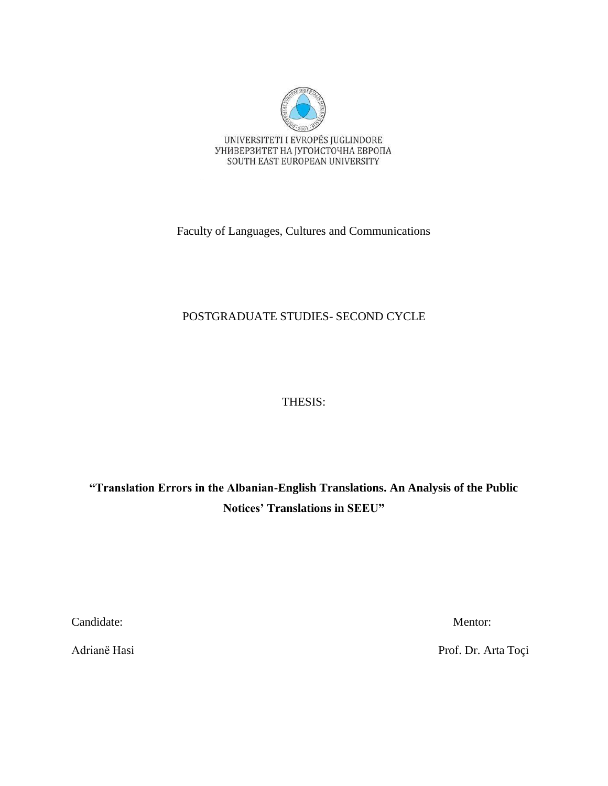

Faculty of Languages, Cultures and Communications

# POSTGRADUATE STUDIES- SECOND CYCLE

# THESIS:

**"Translation Errors in the Albanian-English Translations. An Analysis of the Public Notices' Translations in SEEU"**

Candidate: Mentor:

Adrianë Hasi Prof. Dr. Arta Toçi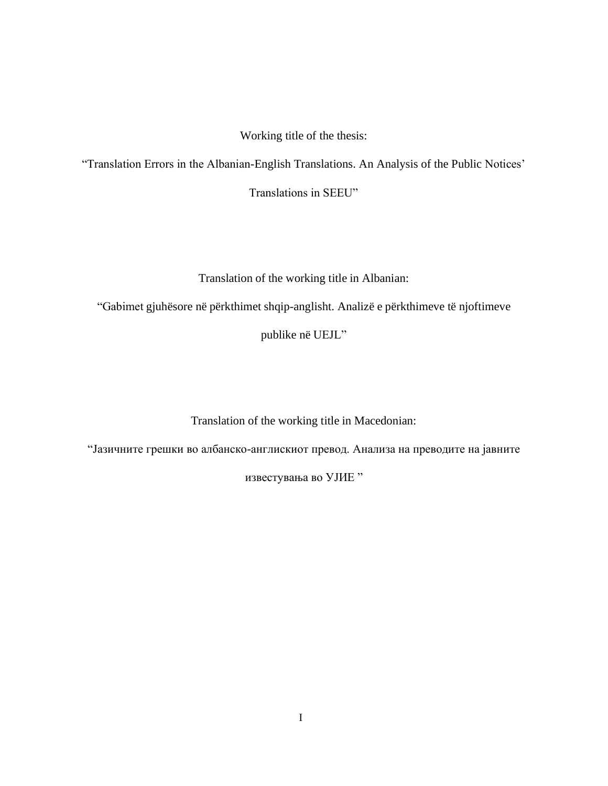Working title of the thesis:

"Translation Errors in the Albanian-English Translations. An Analysis of the Public Notices'

Translations in SEEU"

Translation of the working title in Albanian:

"Gabimet gjuhësore në përkthimet shqip-anglisht. Analizë e përkthimeve të njoftimeve

publike në UEJL"

Translation of the working title in Macedonian:

"Јазичните грешки во албанско-англискиот превод. Анализа на преводите на јавните

известувања во УЈИЕ "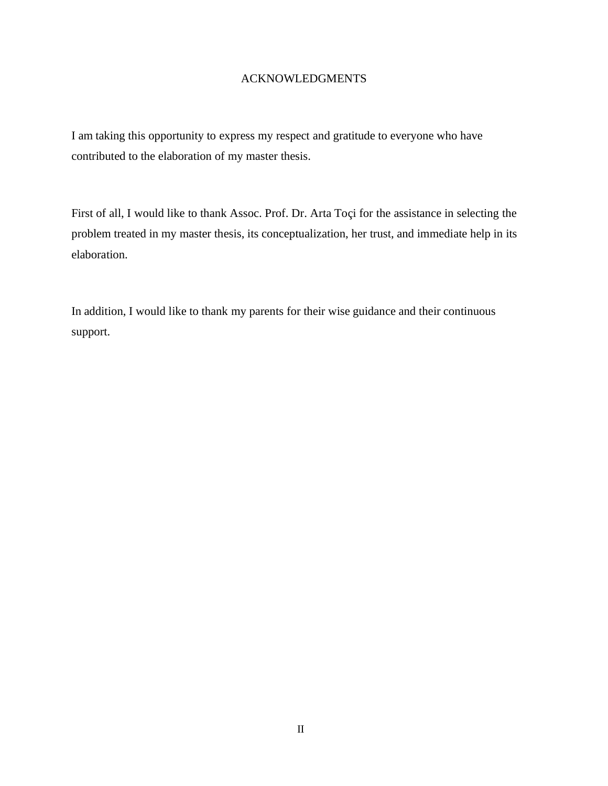# ACKNOWLEDGMENTS

I am taking this opportunity to express my respect and gratitude to everyone who have contributed to the elaboration of my master thesis.

First of all, I would like to thank Assoc. Prof. Dr. Arta Toçi for the assistance in selecting the problem treated in my master thesis, its conceptualization, her trust, and immediate help in its elaboration.

In addition, I would like to thank my parents for their wise guidance and their continuous support.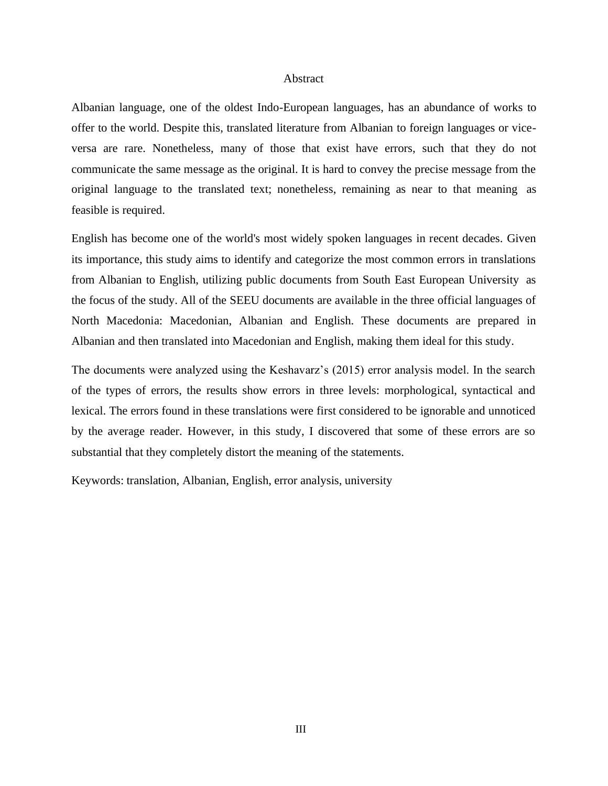#### Abstract

Albanian language, one of the oldest Indo-European languages, has an abundance of works to offer to the world. Despite this, translated literature from Albanian to foreign languages or viceversa are rare. Nonetheless, many of those that exist have errors, such that they do not communicate the same message as the original. It is hard to convey the precise message from the original language to the translated text; nonetheless, remaining as near to that meaning as feasible is required.

English has become one of the world's most widely spoken languages in recent decades. Given its importance, this study aims to identify and categorize the most common errors in translations from Albanian to English, utilizing public documents from South East European University as the focus of the study. All of the SEEU documents are available in the three official languages of North Macedonia: Macedonian, Albanian and English. These documents are prepared in Albanian and then translated into Macedonian and English, making them ideal for this study.

The documents were analyzed using the Keshavarz's (2015) error analysis model. In the search of the types of errors, the results show errors in three levels: morphological, syntactical and lexical. The errors found in these translations were first considered to be ignorable and unnoticed by the average reader. However, in this study, I discovered that some of these errors are so substantial that they completely distort the meaning of the statements.

Keywords: translation, Albanian, English, error analysis, university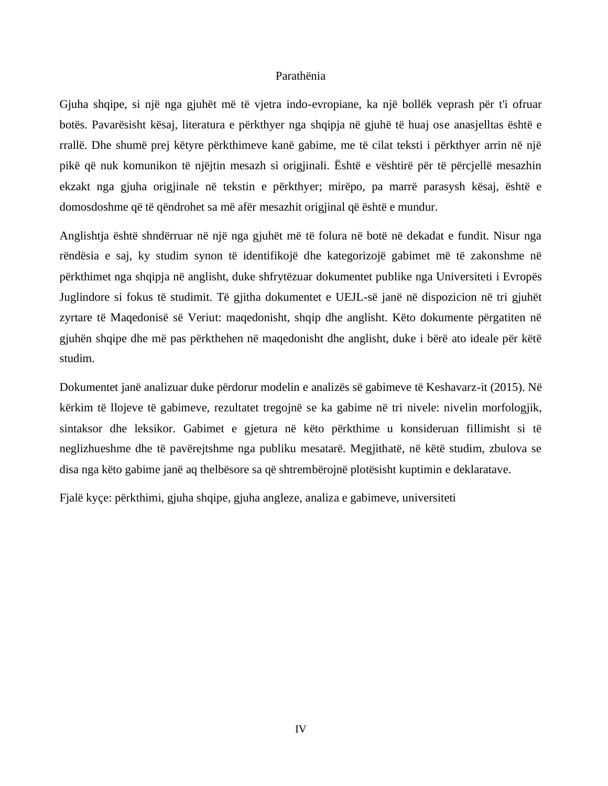### Parathënia

Gjuha shqipe, si një nga gjuhët më të vjetra indo-evropiane, ka një bollëk veprash për t'i ofruar botës. Pavarësisht kësaj, literatura e përkthyer nga shqipja në gjuhë të huaj ose anasjelltas është e rrallë. Dhe shumë prej këtyre përkthimeve kanë gabime, me të cilat teksti i përkthyer arrin në një pikë që nuk komunikon të njëjtin mesazh si origjinali. Është e vështirë për të përcjellë mesazhin ekzakt nga gjuha origjinale në tekstin e përkthyer; mirëpo, pa marrë parasysh kësaj, është e domosdoshme që të qëndrohet sa më afër mesazhit origjinal që është e mundur.

Anglishtja është shndërruar në një nga gjuhët më të folura në botë në dekadat e fundit. Nisur nga rëndësia e saj, ky studim synon të identifikojë dhe kategorizojë gabimet më të zakonshme në përkthimet nga shqipja në anglisht, duke shfrytëzuar dokumentet publike nga Universiteti i Evropës Juglindore si fokus të studimit. Të gjitha dokumentet e UEJL-së janë në dispozicion në tri gjuhët zyrtare të Maqedonisë së Veriut: maqedonisht, shqip dhe anglisht. Këto dokumente përgatiten në gjuhën shqipe dhe më pas përkthehen në maqedonisht dhe anglisht, duke i bërë ato ideale për këtë studim.

Dokumentet janë analizuar duke përdorur modelin e analizës së gabimeve të Keshavarz-it (2015). Në kërkim të llojeve të gabimeve, rezultatet tregojnë se ka gabime në tri nivele: nivelin morfologjik, sintaksor dhe leksikor. Gabimet e gjetura në këto përkthime u konsideruan fillimisht si të neglizhueshme dhe të pavërejtshme nga publiku mesatarë. Megjithatë, në këtë studim, zbulova se disa nga këto gabime janë aq thelbësore sa që shtrembërojnë plotësisht kuptimin e deklaratave.

Fjalë kyçe: përkthimi, gjuha shqipe, gjuha angleze, analiza e gabimeve, universiteti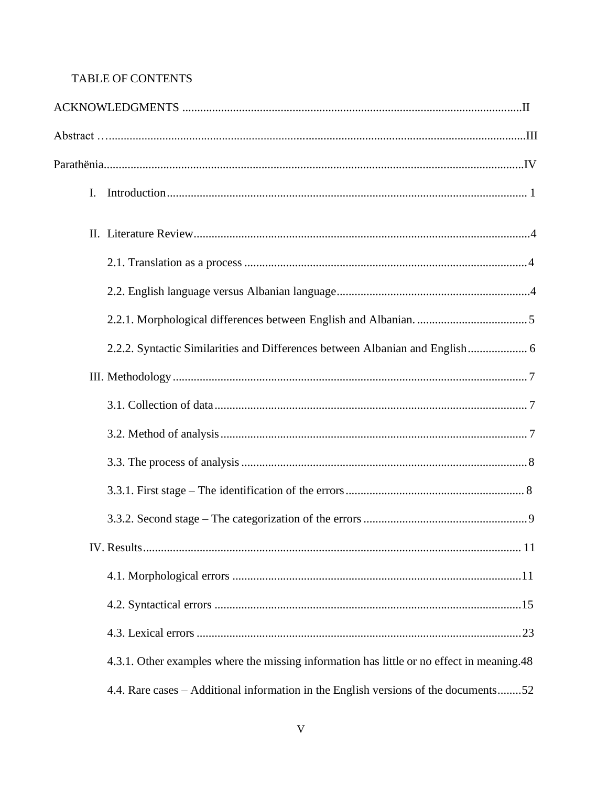# TABLE OF CONTENTS

| I.                                                                                        |  |
|-------------------------------------------------------------------------------------------|--|
|                                                                                           |  |
|                                                                                           |  |
|                                                                                           |  |
|                                                                                           |  |
| 2.2.2. Syntactic Similarities and Differences between Albanian and English 6              |  |
|                                                                                           |  |
|                                                                                           |  |
|                                                                                           |  |
|                                                                                           |  |
|                                                                                           |  |
|                                                                                           |  |
|                                                                                           |  |
|                                                                                           |  |
|                                                                                           |  |
|                                                                                           |  |
| 4.3.1. Other examples where the missing information has little or no effect in meaning.48 |  |
| 4.4. Rare cases – Additional information in the English versions of the documents52       |  |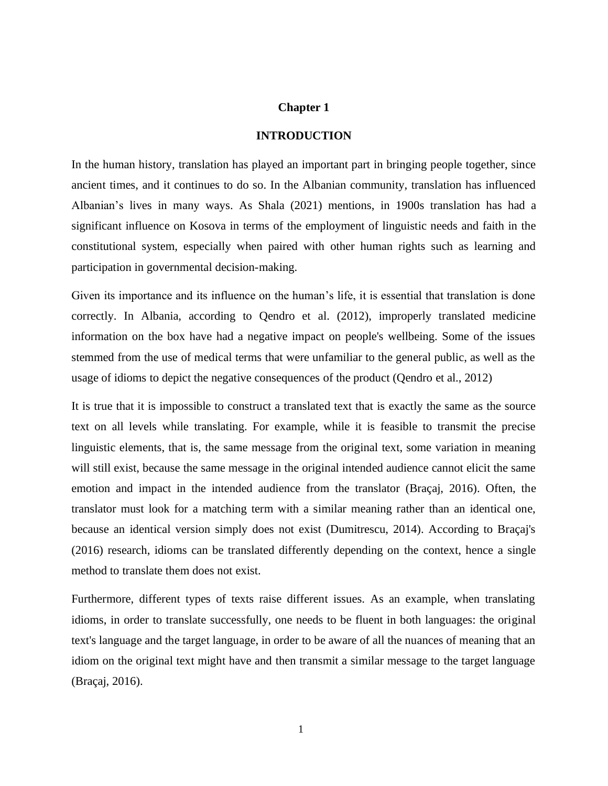### **Chapter 1**

#### **INTRODUCTION**

In the human history, translation has played an important part in bringing people together, since ancient times, and it continues to do so. In the Albanian community, translation has influenced Albanian's lives in many ways. As Shala (2021) mentions, in 1900s translation has had a significant influence on Kosova in terms of the employment of linguistic needs and faith in the constitutional system, especially when paired with other human rights such as learning and participation in governmental decision-making.

Given its importance and its influence on the human's life, it is essential that translation is done correctly. In Albania, according to Qendro et al. (2012), improperly translated medicine information on the box have had a negative impact on people's wellbeing. Some of the issues stemmed from the use of medical terms that were unfamiliar to the general public, as well as the usage of idioms to depict the negative consequences of the product (Qendro et al., 2012)

It is true that it is impossible to construct a translated text that is exactly the same as the source text on all levels while translating. For example, while it is feasible to transmit the precise linguistic elements, that is, the same message from the original text, some variation in meaning will still exist, because the same message in the original intended audience cannot elicit the same emotion and impact in the intended audience from the translator (Braçaj, 2016). Often, the translator must look for a matching term with a similar meaning rather than an identical one, because an identical version simply does not exist (Dumitrescu, 2014). According to Braçaj's (2016) research, idioms can be translated differently depending on the context, hence a single method to translate them does not exist.

Furthermore, different types of texts raise different issues. As an example, when translating idioms, in order to translate successfully, one needs to be fluent in both languages: the original text's language and the target language, in order to be aware of all the nuances of meaning that an idiom on the original text might have and then transmit a similar message to the target language (Braçaj, 2016).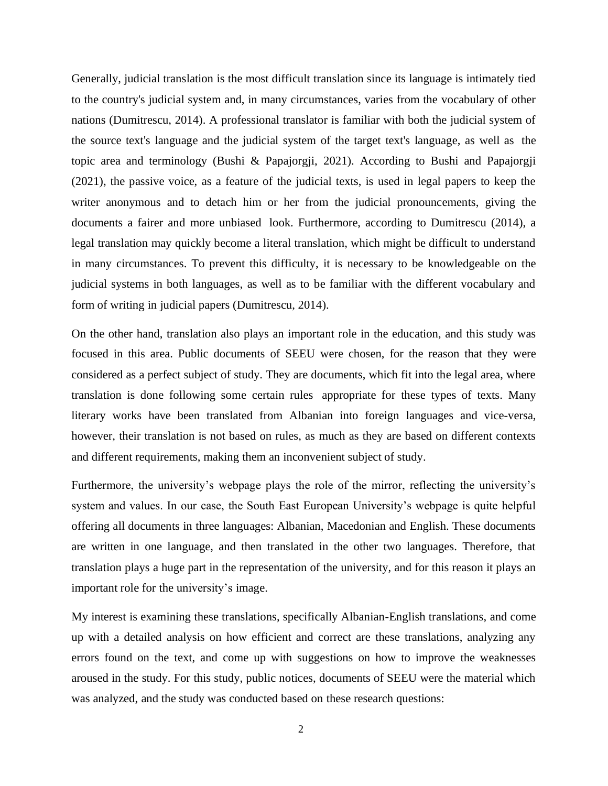Generally, judicial translation is the most difficult translation since its language is intimately tied to the country's judicial system and, in many circumstances, varies from the vocabulary of other nations (Dumitrescu, 2014). A professional translator is familiar with both the judicial system of the source text's language and the judicial system of the target text's language, as well as the topic area and terminology (Bushi & Papajorgji, 2021). According to Bushi and Papajorgji (2021), the passive voice, as a feature of the judicial texts, is used in legal papers to keep the writer anonymous and to detach him or her from the judicial pronouncements, giving the documents a fairer and more unbiased look. Furthermore, according to Dumitrescu (2014), a legal translation may quickly become a literal translation, which might be difficult to understand in many circumstances. To prevent this difficulty, it is necessary to be knowledgeable on the judicial systems in both languages, as well as to be familiar with the different vocabulary and form of writing in judicial papers (Dumitrescu, 2014).

On the other hand, translation also plays an important role in the education, and this study was focused in this area. Public documents of SEEU were chosen, for the reason that they were considered as a perfect subject of study. They are documents, which fit into the legal area, where translation is done following some certain rules appropriate for these types of texts. Many literary works have been translated from Albanian into foreign languages and vice-versa, however, their translation is not based on rules, as much as they are based on different contexts and different requirements, making them an inconvenient subject of study.

Furthermore, the university's webpage plays the role of the mirror, reflecting the university's system and values. In our case, the South East European University's webpage is quite helpful offering all documents in three languages: Albanian, Macedonian and English. These documents are written in one language, and then translated in the other two languages. Therefore, that translation plays a huge part in the representation of the university, and for this reason it plays an important role for the university's image.

My interest is examining these translations, specifically Albanian-English translations, and come up with a detailed analysis on how efficient and correct are these translations, analyzing any errors found on the text, and come up with suggestions on how to improve the weaknesses aroused in the study. For this study, public notices, documents of SEEU were the material which was analyzed, and the study was conducted based on these research questions: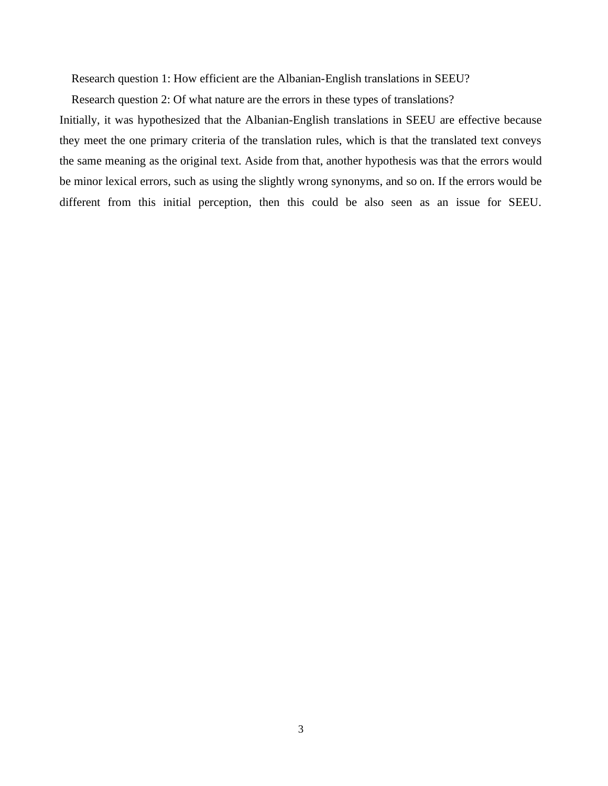Research question 1: How efficient are the Albanian-English translations in SEEU?

Research question 2: Of what nature are the errors in these types of translations?

Initially, it was hypothesized that the Albanian-English translations in SEEU are effective because they meet the one primary criteria of the translation rules, which is that the translated text conveys the same meaning as the original text. Aside from that, another hypothesis was that the errors would be minor lexical errors, such as using the slightly wrong synonyms, and so on. If the errors would be different from this initial perception, then this could be also seen as an issue for SEEU.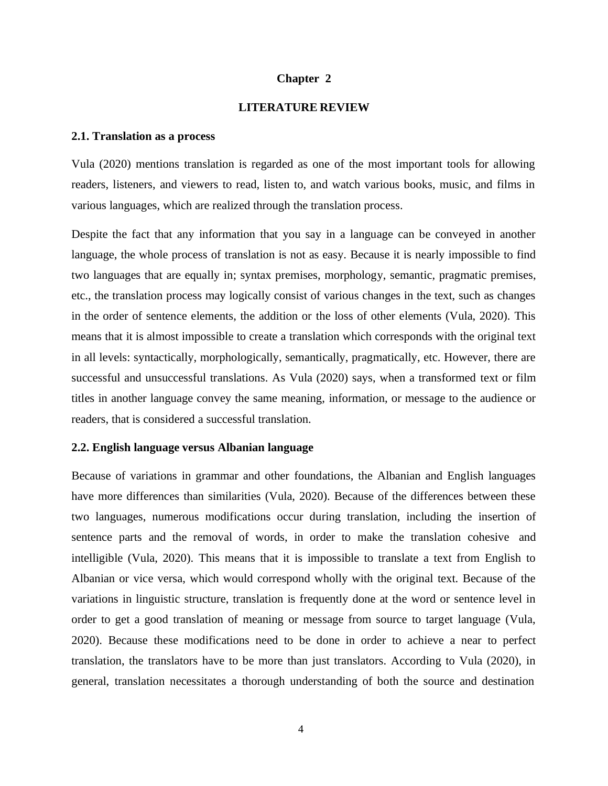#### **Chapter 2**

#### **LITERATURE REVIEW**

### <span id="page-10-0"></span>**2.1. Translation as a process**

Vula (2020) mentions translation is regarded as one of the most important tools for allowing readers, listeners, and viewers to read, listen to, and watch various books, music, and films in various languages, which are realized through the translation process.

Despite the fact that any information that you say in a language can be conveyed in another language, the whole process of translation is not as easy. Because it is nearly impossible to find two languages that are equally in; syntax premises, morphology, semantic, pragmatic premises, etc., the translation process may logically consist of various changes in the text, such as changes in the order of sentence elements, the addition or the loss of other elements (Vula, 2020). This means that it is almost impossible to create a translation which corresponds with the original text in all levels: syntactically, morphologically, semantically, pragmatically, etc. However, there are successful and unsuccessful translations. As Vula (2020) says, when a transformed text or film titles in another language convey the same meaning, information, or message to the audience or readers, that is considered a successful translation.

#### <span id="page-10-1"></span>**2.2. English language versus Albanian language**

Because of variations in grammar and other foundations, the Albanian and English languages have more differences than similarities (Vula, 2020). Because of the differences between these two languages, numerous modifications occur during translation, including the insertion of sentence parts and the removal of words, in order to make the translation cohesive and intelligible (Vula, 2020). This means that it is impossible to translate a text from English to Albanian or vice versa, which would correspond wholly with the original text. Because of the variations in linguistic structure, translation is frequently done at the word or sentence level in order to get a good translation of meaning or message from source to target language (Vula, 2020). Because these modifications need to be done in order to achieve a near to perfect translation, the translators have to be more than just translators. According to Vula (2020), in general, translation necessitates a thorough understanding of both the source and destination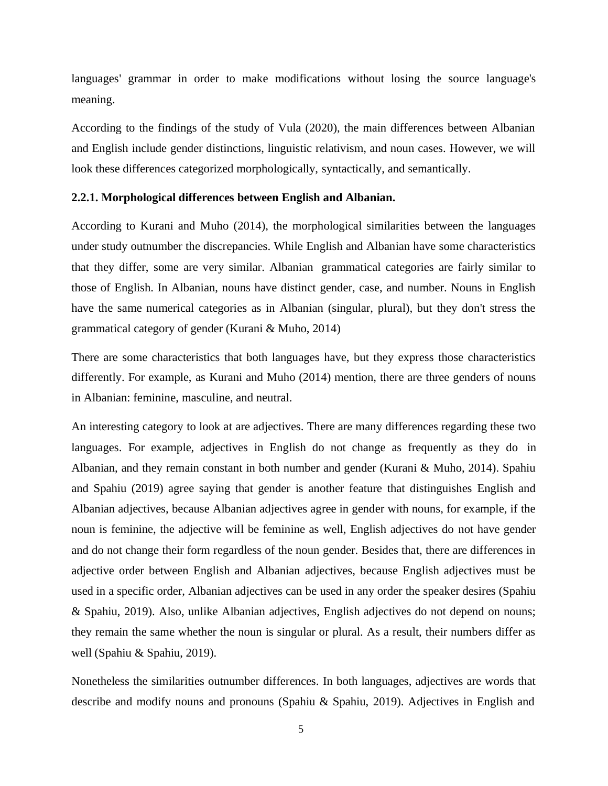languages' grammar in order to make modifications without losing the source language's meaning.

According to the findings of the study of Vula (2020), the main differences between Albanian and English include gender distinctions, linguistic relativism, and noun cases. However, we will look these differences categorized morphologically, syntactically, and semantically.

#### <span id="page-11-0"></span>**2.2.1. Morphological differences between English and Albanian.**

According to Kurani and Muho (2014), the morphological similarities between the languages under study outnumber the discrepancies. While English and Albanian have some characteristics that they differ, some are very similar. Albanian grammatical categories are fairly similar to those of English. In Albanian, nouns have distinct gender, case, and number. Nouns in English have the same numerical categories as in Albanian (singular, plural), but they don't stress the grammatical category of gender (Kurani & Muho, 2014)

There are some characteristics that both languages have, but they express those characteristics differently. For example, as Kurani and Muho (2014) mention, there are three genders of nouns in Albanian: feminine, masculine, and neutral.

An interesting category to look at are adjectives. There are many differences regarding these two languages. For example, adjectives in English do not change as frequently as they do in Albanian, and they remain constant in both number and gender (Kurani & Muho, 2014). Spahiu and Spahiu (2019) agree saying that gender is another feature that distinguishes English and Albanian adjectives, because Albanian adjectives agree in gender with nouns, for example, if the noun is feminine, the adjective will be feminine as well, English adjectives do not have gender and do not change their form regardless of the noun gender. Besides that, there are differences in adjective order between English and Albanian adjectives, because English adjectives must be used in a specific order, Albanian adjectives can be used in any order the speaker desires (Spahiu & Spahiu, 2019). Also, unlike Albanian adjectives, English adjectives do not depend on nouns; they remain the same whether the noun is singular or plural. As a result, their numbers differ as well (Spahiu & Spahiu, 2019).

Nonetheless the similarities outnumber differences. In both languages, adjectives are words that describe and modify nouns and pronouns (Spahiu & Spahiu, 2019). Adjectives in English and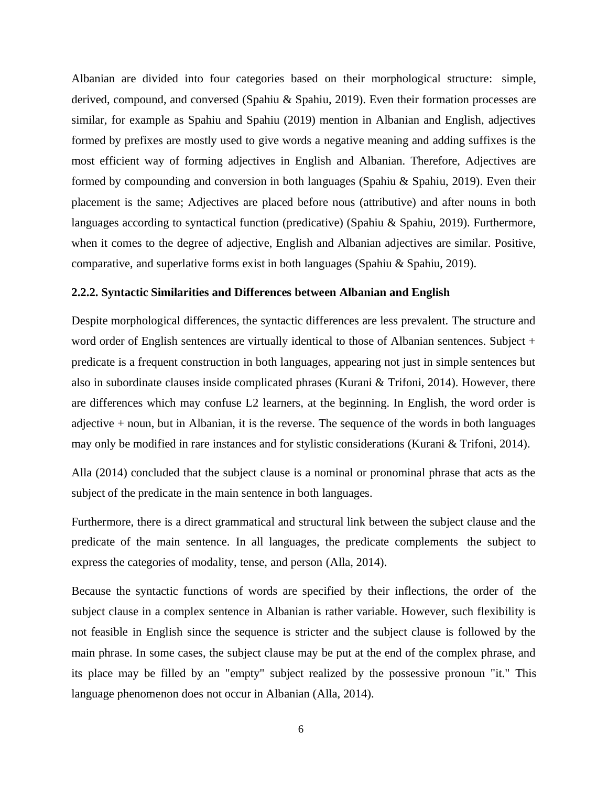Albanian are divided into four categories based on their morphological structure: simple, derived, compound, and conversed (Spahiu & Spahiu, 2019). Even their formation processes are similar, for example as Spahiu and Spahiu (2019) mention in Albanian and English, adjectives formed by prefixes are mostly used to give words a negative meaning and adding suffixes is the most efficient way of forming adjectives in English and Albanian. Therefore, Adjectives are formed by compounding and conversion in both languages (Spahiu & Spahiu, 2019). Even their placement is the same; Adjectives are placed before nous (attributive) and after nouns in both languages according to syntactical function (predicative) (Spahiu & Spahiu, 2019). Furthermore, when it comes to the degree of adjective, English and Albanian adjectives are similar. Positive, comparative, and superlative forms exist in both languages (Spahiu & Spahiu, 2019).

### <span id="page-12-0"></span>**2.2.2. Syntactic Similarities and Differences between Albanian and English**

Despite morphological differences, the syntactic differences are less prevalent. The structure and word order of English sentences are virtually identical to those of Albanian sentences. Subject + predicate is a frequent construction in both languages, appearing not just in simple sentences but also in subordinate clauses inside complicated phrases (Kurani & Trifoni, 2014). However, there are differences which may confuse L2 learners, at the beginning. In English, the word order is adjective + noun, but in Albanian, it is the reverse. The sequence of the words in both languages may only be modified in rare instances and for stylistic considerations (Kurani & Trifoni, 2014).

Alla (2014) concluded that the subject clause is a nominal or pronominal phrase that acts as the subject of the predicate in the main sentence in both languages.

Furthermore, there is a direct grammatical and structural link between the subject clause and the predicate of the main sentence. In all languages, the predicate complements the subject to express the categories of modality, tense, and person (Alla, 2014).

Because the syntactic functions of words are specified by their inflections, the order of the subject clause in a complex sentence in Albanian is rather variable. However, such flexibility is not feasible in English since the sequence is stricter and the subject clause is followed by the main phrase. In some cases, the subject clause may be put at the end of the complex phrase, and its place may be filled by an "empty" subject realized by the possessive pronoun "it." This language phenomenon does not occur in Albanian (Alla, 2014).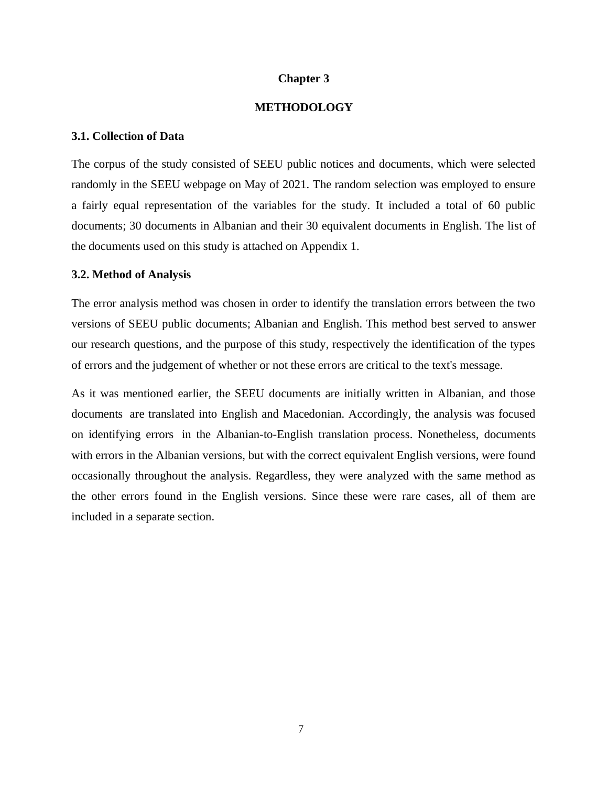### **Chapter 3**

### **METHODOLOGY**

### **3.1. Collection of Data**

The corpus of the study consisted of SEEU public notices and documents, which were selected randomly in the SEEU webpage on May of 2021. The random selection was employed to ensure a fairly equal representation of the variables for the study. It included a total of 60 public documents; 30 documents in Albanian and their 30 equivalent documents in English. The list of the documents used on this study is attached on Appendix 1.

#### **3.2. Method of Analysis**

The error analysis method was chosen in order to identify the translation errors between the two versions of SEEU public documents; Albanian and English. This method best served to answer our research questions, and the purpose of this study, respectively the identification of the types of errors and the judgement of whether or not these errors are critical to the text's message.

As it was mentioned earlier, the SEEU documents are initially written in Albanian, and those documents are translated into English and Macedonian. Accordingly, the analysis was focused on identifying errors in the Albanian-to-English translation process. Nonetheless, documents with errors in the Albanian versions, but with the correct equivalent English versions, were found occasionally throughout the analysis. Regardless, they were analyzed with the same method as the other errors found in the English versions. Since these were rare cases, all of them are included in a separate section.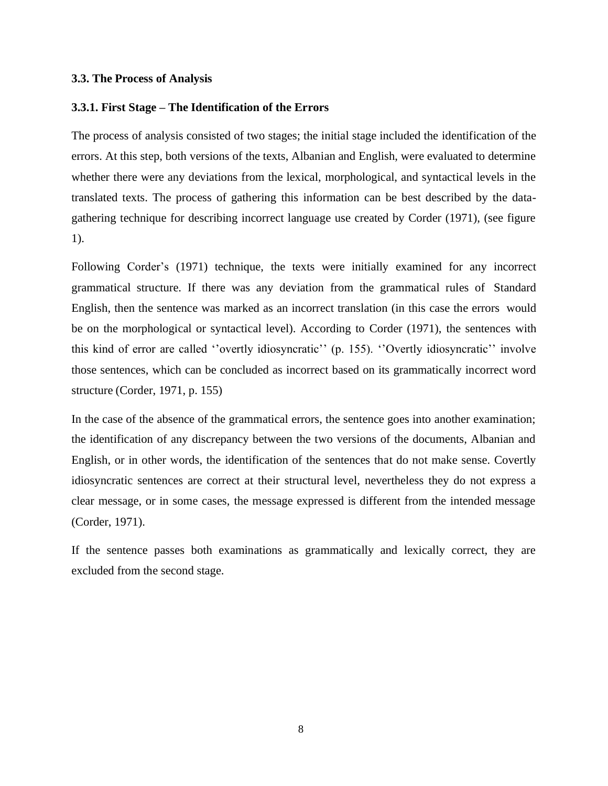### **3.3. The Process of Analysis**

#### **3.3.1. First Stage – The Identification of the Errors**

The process of analysis consisted of two stages; the initial stage included the identification of the errors. At this step, both versions of the texts, Albanian and English, were evaluated to determine whether there were any deviations from the lexical, morphological, and syntactical levels in the translated texts. The process of gathering this information can be best described by the datagathering technique for describing incorrect language use created by Corder (1971), (see figure 1).

Following Corder's (1971) technique, the texts were initially examined for any incorrect grammatical structure. If there was any deviation from the grammatical rules of Standard English, then the sentence was marked as an incorrect translation (in this case the errors would be on the morphological or syntactical level). According to Corder (1971), the sentences with this kind of error are called ''overtly idiosyncratic'' (p. 155). ''Overtly idiosyncratic'' involve those sentences, which can be concluded as incorrect based on its grammatically incorrect word structure (Corder, 1971, p. 155)

In the case of the absence of the grammatical errors, the sentence goes into another examination; the identification of any discrepancy between the two versions of the documents, Albanian and English, or in other words, the identification of the sentences that do not make sense. Covertly idiosyncratic sentences are correct at their structural level, nevertheless they do not express a clear message, or in some cases, the message expressed is different from the intended message (Corder, 1971).

If the sentence passes both examinations as grammatically and lexically correct, they are excluded from the second stage.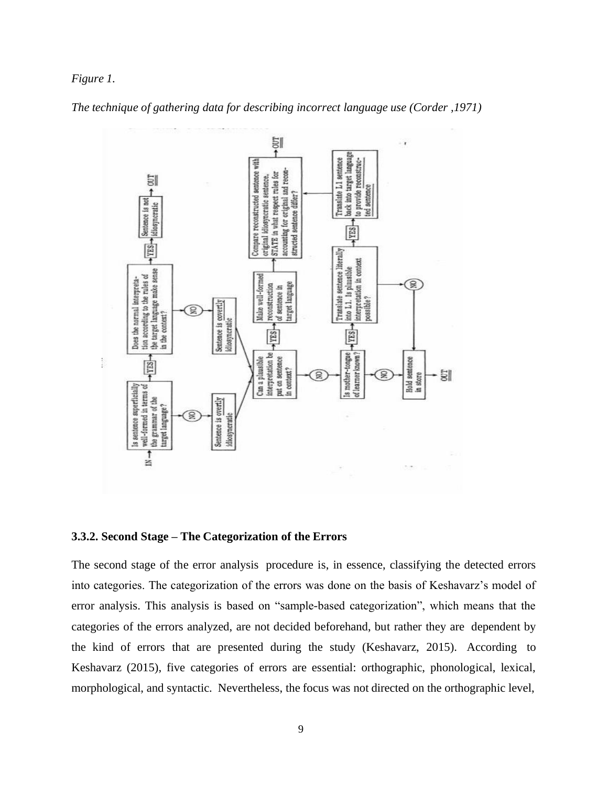### *Figure 1.*



*The technique of gathering data for describing incorrect language use (Corder ,1971)*

# **3.3.2. Second Stage – The Categorization of the Errors**

The second stage of the error analysis procedure is, in essence, classifying the detected errors into categories. The categorization of the errors was done on the basis of Keshavarz's model of error analysis. This analysis is based on "sample-based categorization", which means that the categories of the errors analyzed, are not decided beforehand, but rather they are dependent by the kind of errors that are presented during the study (Keshavarz, 2015). According to Keshavarz (2015), five categories of errors are essential: orthographic, phonological, lexical, morphological, and syntactic. Nevertheless, the focus was not directed on the orthographic level,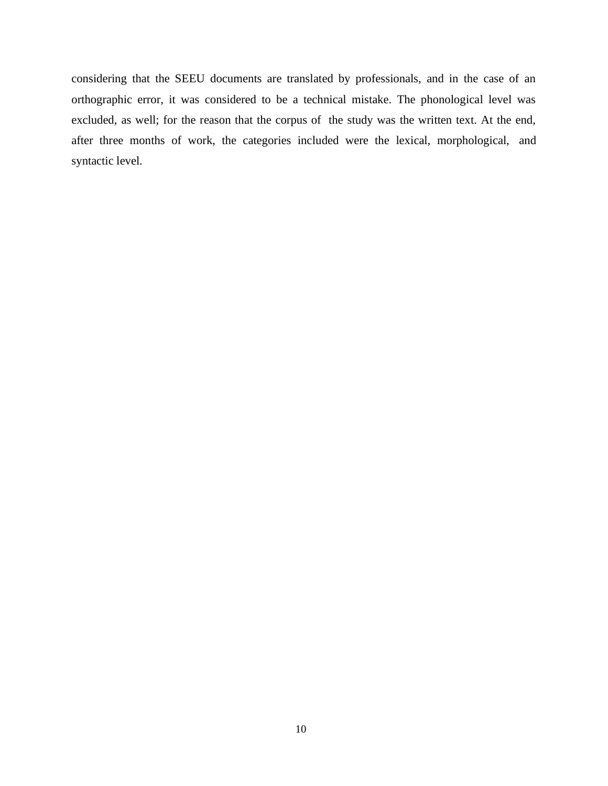considering that the SEEU documents are translated by professionals, and in the case of an orthographic error, it was considered to be a technical mistake. The phonological level was excluded, as well; for the reason that the corpus of the study was the written text. At the end, after three months of work, the categories included were the lexical, morphological, and syntactic level.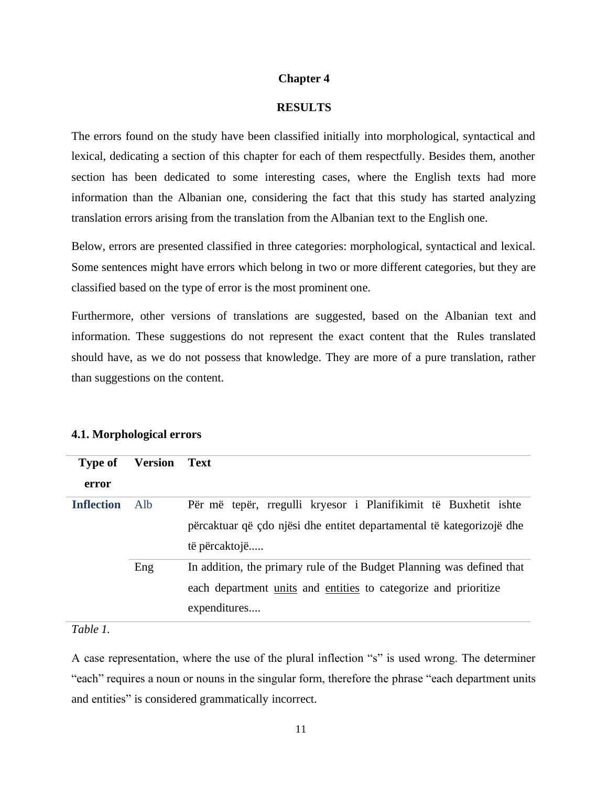### **Chapter 4**

#### **RESULTS**

The errors found on the study have been classified initially into morphological, syntactical and lexical, dedicating a section of this chapter for each of them respectfully. Besides them, another section has been dedicated to some interesting cases, where the English texts had more information than the Albanian one, considering the fact that this study has started analyzing translation errors arising from the translation from the Albanian text to the English one.

Below, errors are presented classified in three categories: morphological, syntactical and lexical. Some sentences might have errors which belong in two or more different categories, but they are classified based on the type of error is the most prominent one.

Furthermore, other versions of translations are suggested, based on the Albanian text and information. These suggestions do not represent the exact content that the Rules translated should have, as we do not possess that knowledge. They are more of a pure translation, rather than suggestions on the content.

| <b>Type of</b><br>error | <b>Version</b> | Text                                                                                                                                                      |
|-------------------------|----------------|-----------------------------------------------------------------------------------------------------------------------------------------------------------|
| <b>Inflection</b>       | Alb            | Për më tepër, rregulli kryesor i Planifikimit të Buxhetit ishte<br>përcaktuar që çdo njësi dhe entitet departamental të kategorizojë dhe<br>të përcaktojë |
|                         | Eng            | In addition, the primary rule of the Budget Planning was defined that<br>each department units and entities to categorize and prioritize<br>expenditures  |

### **4.1. Morphological errors**

# *Table 1.*

A case representation, where the use of the plural inflection "s" is used wrong. The determiner "each" requires a noun or nouns in the singular form, therefore the phrase "each department units and entities" is considered grammatically incorrect.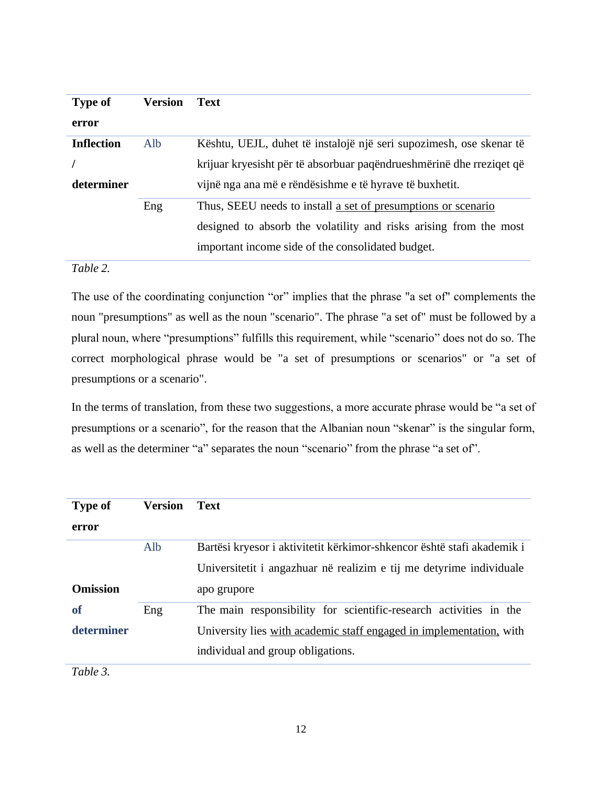| <b>Type of</b>    | Version | <b>Text</b>                                                          |
|-------------------|---------|----------------------------------------------------------------------|
| error             |         |                                                                      |
| <b>Inflection</b> | Alb     | Kështu, UEJL, duhet të instalojë një seri supozimesh, ose skenar të  |
|                   |         | krijuar kryesisht për të absorbuar paqëndrueshmërinë dhe rreziqet që |
| determiner        |         | vijnë nga ana më e rëndësishme e të hyrave të buxhetit.              |
|                   | Eng     | Thus, SEEU needs to install a set of presumptions or scenario        |
|                   |         | designed to absorb the volatility and risks arising from the most    |
|                   |         | important income side of the consolidated budget.                    |

# *Table 2.*

The use of the coordinating conjunction "or" implies that the phrase "a set of" complements the noun "presumptions" as well as the noun "scenario". The phrase "a set of" must be followed by a plural noun, where "presumptions" fulfills this requirement, while "scenario" does not do so. The correct morphological phrase would be "a set of presumptions or scenarios" or "a set of presumptions or a scenario".

In the terms of translation, from these two suggestions, a more accurate phrase would be "a set of presumptions or a scenario", for the reason that the Albanian noun "skenar" is the singular form, as well as the determiner "a" separates the noun "scenario" from the phrase "a set of".

| <b>Type of</b>  | <b>Version</b> | <b>Text</b>                                                            |
|-----------------|----------------|------------------------------------------------------------------------|
| error           |                |                                                                        |
|                 | Alb            | Bartësi kryesor i aktivitetit kërkimor-shkencor është stafi akademik i |
|                 |                | Universitetit i angazhuar në realizim e tij me detyrime individuale    |
| <b>Omission</b> |                | apo grupore                                                            |
| of              | Eng            | The main responsibility for scientific-research activities in the      |
| determiner      |                | University lies with academic staff engaged in implementation, with    |
|                 |                | individual and group obligations.                                      |
| $-111$          |                |                                                                        |

*Table 3.*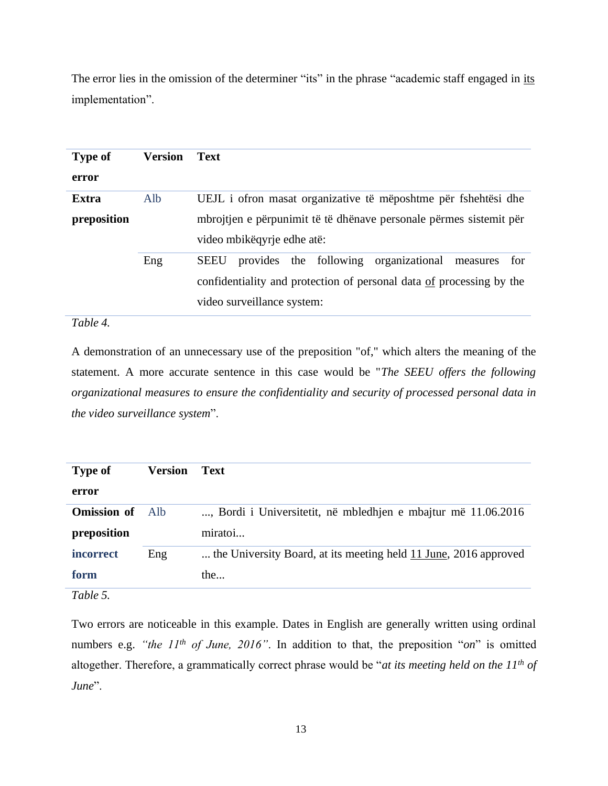The error lies in the omission of the determiner "its" in the phrase "academic staff engaged in its implementation".

| <b>Type of</b> | <b>Version</b> | <b>Text</b>                                                          |
|----------------|----------------|----------------------------------------------------------------------|
| error          |                |                                                                      |
| Extra          | Alb            | UEJL i ofron masat organizative të mëposhtme për fshehtësi dhe       |
| preposition    |                | mbrojtjen e përpunimit të të dhënave personale përmes sistemit për   |
|                |                | video mbikëqyrje edhe atë:                                           |
|                | Eng            | provides the following organizational<br>SEEU<br>measures<br>for     |
|                |                | confidentiality and protection of personal data of processing by the |
|                |                | video surveillance system:                                           |

# *Table 4.*

A demonstration of an unnecessary use of the preposition "of," which alters the meaning of the statement. A more accurate sentence in this case would be "*The SEEU offers the following organizational measures to ensure the confidentiality and security of processed personal data in the video surveillance system*".

| <b>Type of</b>     | <b>Version</b> | Text                                                             |
|--------------------|----------------|------------------------------------------------------------------|
| error              |                |                                                                  |
| <b>Omission</b> of | Alb.           | , Bordi i Universitetit, në mbledhjen e mbajtur më 11.06.2016    |
| preposition        |                | miratoi                                                          |
| incorrect          | Eng            | the University Board, at its meeting held 11 June, 2016 approved |
| form               |                | the                                                              |
| $T^{11}$           |                |                                                                  |

*Table 5.*

Two errors are noticeable in this example. Dates in English are generally written using ordinal numbers e.g. *"the 11th of June, 2016"*. In addition to that, the preposition "*on*" is omitted altogether. Therefore, a grammatically correct phrase would be "*at its meeting held on the 11th of June*".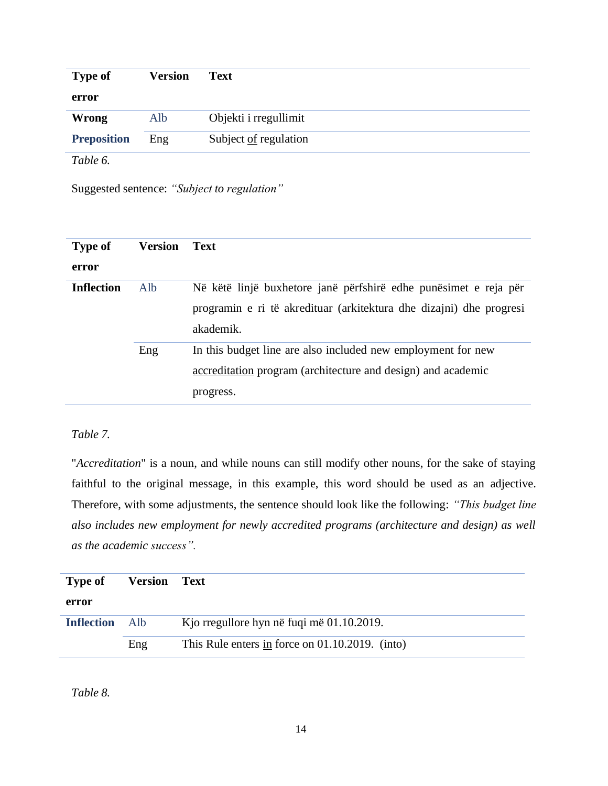| <b>Type of</b>     | <b>Version</b> | <b>Text</b>           |
|--------------------|----------------|-----------------------|
| error              |                |                       |
| <b>Wrong</b>       | Alb            | Objekti i rregullimit |
| <b>Preposition</b> | Eng            | Subject of regulation |
| Table 6.           |                |                       |

Suggested sentence: *"Subject to regulation"*

| <b>Type of</b>    | <b>Version</b> | <b>Text</b>                                                         |
|-------------------|----------------|---------------------------------------------------------------------|
| error             |                |                                                                     |
| <b>Inflection</b> | Alb            | Në këtë linjë buxhetore janë përfshirë edhe punësimet e reja për    |
|                   |                | programin e ri të akredituar (arkitektura dhe dizajni) dhe progresi |
|                   |                | akademik.                                                           |
|                   | Eng            | In this budget line are also included new employment for new        |
|                   |                | accreditation program (architecture and design) and academic        |
|                   |                | progress.                                                           |

# *Table 7.*

"*Accreditation*" is a noun, and while nouns can still modify other nouns, for the sake of staying faithful to the original message, in this example, this word should be used as an adjective. Therefore, with some adjustments, the sentence should look like the following: *"This budget line also includes new employment for newly accredited programs (architecture and design) as well as the academic success".*

| <b>Type of</b>    | <b>Version</b> | <b>Text</b>                                     |
|-------------------|----------------|-------------------------------------------------|
| error             |                |                                                 |
| <b>Inflection</b> | – Alb          | Kjo rregullore hyn në fuqi më 01.10.2019.       |
|                   | Eng            | This Rule enters in force on 01.10.2019. (into) |

*Table 8.*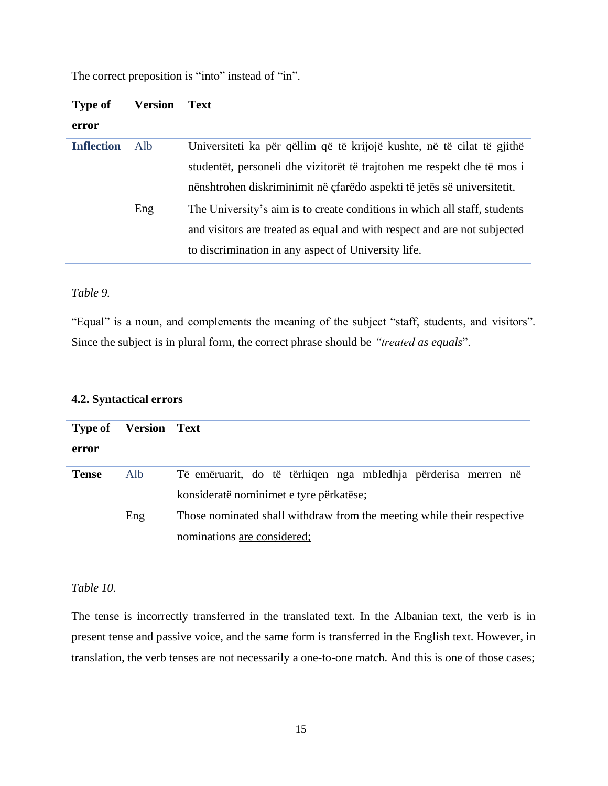| <b>Type of</b>    | Version | <b>Text</b>                                                               |
|-------------------|---------|---------------------------------------------------------------------------|
| error             |         |                                                                           |
| <b>Inflection</b> | Alb     | Universiteti ka për qëllim që të krijojë kushte, në të cilat të gjithë    |
|                   |         | studentët, personeli dhe vizitorët të trajtohen me respekt dhe të mos i   |
|                   |         | nënshtrohen diskriminimit në çfarëdo aspekti të jetës së universitetit.   |
|                   | Eng     | The University's aim is to create conditions in which all staff, students |
|                   |         | and visitors are treated as equal and with respect and are not subjected  |
|                   |         | to discrimination in any aspect of University life.                       |

The correct preposition is "into" instead of "in".

### *Table 9.*

"Equal" is a noun, and complements the meaning of the subject "staff, students, and visitors". Since the subject is in plural form, the correct phrase should be *"treated as equals*".

| <b>Type of</b> | <b>Version Text</b> |                                                                        |
|----------------|---------------------|------------------------------------------------------------------------|
|                |                     |                                                                        |
| error          |                     |                                                                        |
| <b>Tense</b>   | Alb                 | Të emëruarit, do të tërhiqen nga mbledhja përderisa merren në          |
|                |                     | konsideratë nominimet e tyre përkatëse;                                |
|                | Eng                 | Those nominated shall withdraw from the meeting while their respective |
|                |                     | nominations are considered;                                            |

# **4.2. Syntactical errors**

### *Table 10.*

The tense is incorrectly transferred in the translated text. In the Albanian text, the verb is in present tense and passive voice, and the same form is transferred in the English text. However, in translation, the verb tenses are not necessarily a one-to-one match. And this is one of those cases;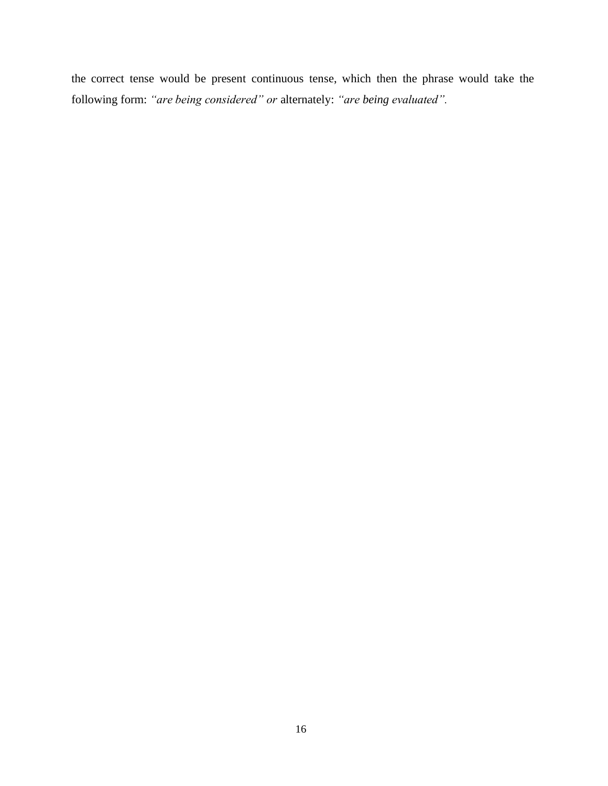the correct tense would be present continuous tense, which then the phrase would take the following form: *"are being considered" or* alternately: *"are being evaluated".*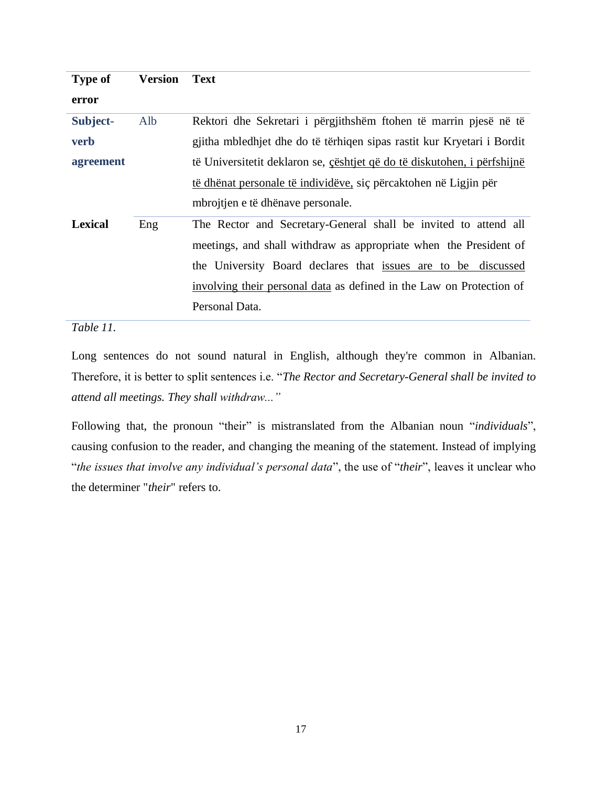| <b>Type of</b> | <b>Version</b> | <b>Text</b>                                                              |
|----------------|----------------|--------------------------------------------------------------------------|
| error          |                |                                                                          |
| Subject-       | Alb            | Rektori dhe Sekretari i përgjithshëm ftohen të marrin pjesë në të        |
| <b>verb</b>    |                | gjitha mbledhjet dhe do të tërhiqen sipas rastit kur Kryetari i Bordit   |
| agreement      |                | të Universitetit deklaron se, cështjet që do të diskutohen, i përfshijnë |
|                |                | të dhënat personale të individëve, siç përcaktohen në Ligjin për         |
|                |                | mbrojtjen e të dhënave personale.                                        |
| <b>Lexical</b> | Eng            | The Rector and Secretary-General shall be invited to attend all          |
|                |                | meetings, and shall withdraw as appropriate when the President of        |
|                |                | the University Board declares that issues are to be discussed            |
|                |                | involving their personal data as defined in the Law on Protection of     |
|                |                | Personal Data.                                                           |

*Table 11.*

Long sentences do not sound natural in English, although they're common in Albanian. Therefore, it is better to split sentences i.e. "*The Rector and Secretary-General shall be invited to attend all meetings. They shall withdraw..."*

Following that, the pronoun "their" is mistranslated from the Albanian noun "*individuals*", causing confusion to the reader, and changing the meaning of the statement. Instead of implying "*the issues that involve any individual's personal data*", the use of "*their*", leaves it unclear who the determiner "*their*" refers to.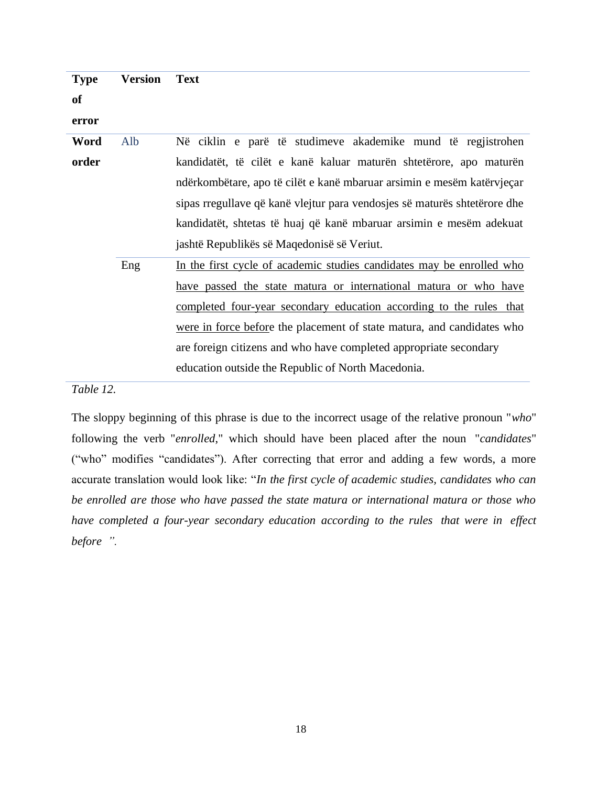| <b>Type</b> | <b>Version</b> | <b>Text</b>                                                               |
|-------------|----------------|---------------------------------------------------------------------------|
| of          |                |                                                                           |
| error       |                |                                                                           |
| Word        | Alb            | Në ciklin e parë të studimeve akademike mund të regjistrohen              |
| order       |                | kandidatët, të cilët e kanë kaluar maturën shtetërore, apo maturën        |
|             |                | ndërkombëtare, apo të cilët e kanë mbaruar arsimin e mesëm katërvjeçar    |
|             |                | sipas rregullave që kanë vlejtur para vendosjes së maturës shtetërore dhe |
|             |                | kandidatët, shtetas të huaj që kanë mbaruar arsimin e mesëm adekuat       |
|             |                | jashtë Republikës së Maqedonisë së Veriut.                                |
|             | Eng            | In the first cycle of academic studies candidates may be enrolled who     |
|             |                | have passed the state matura or international matura or who have          |
|             |                | completed four-year secondary education according to the rules that       |
|             |                | were in force before the placement of state matura, and candidates who    |
|             |                | are foreign citizens and who have completed appropriate secondary         |
|             |                | education outside the Republic of North Macedonia.                        |

*Table 12.*

The sloppy beginning of this phrase is due to the incorrect usage of the relative pronoun "*who*" following the verb "*enrolled*," which should have been placed after the noun "*candidates*" ("who" modifies "candidates"). After correcting that error and adding a few words, a more accurate translation would look like: "*In the first cycle of academic studies, candidates who can be enrolled are those who have passed the state matura or international matura or those who have completed a four-year secondary education according to the rules that were in effect before ".*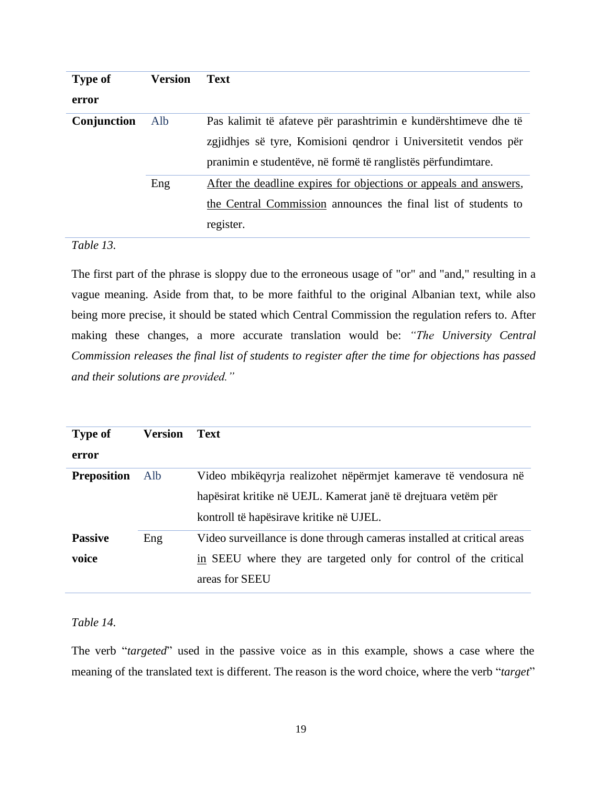| <b>Type of</b> | <b>Version</b> | <b>Text</b>                                                       |
|----------------|----------------|-------------------------------------------------------------------|
| error          |                |                                                                   |
| Conjunction    | Alb            | Pas kalimit të afateve për parashtrimin e kundërshtimeve dhe të   |
|                |                | zgjidhjes së tyre, Komisioni qendror i Universitetit vendos për   |
|                |                | pranimin e studentëve, në formë të ranglistës përfundimtare.      |
|                | Eng            | After the deadline expires for objections or appeals and answers, |
|                |                | the Central Commission announces the final list of students to    |
|                |                | register.                                                         |

# *Table 13.*

The first part of the phrase is sloppy due to the erroneous usage of "or" and "and," resulting in a vague meaning. Aside from that, to be more faithful to the original Albanian text, while also being more precise, it should be stated which Central Commission the regulation refers to. After making these changes, a more accurate translation would be: *"The University Central Commission releases the final list of students to register after the time for objections has passed and their solutions are provided."*

| <b>Type of</b>     | <b>Version</b> | <b>Text</b>                                                            |
|--------------------|----------------|------------------------------------------------------------------------|
| error              |                |                                                                        |
| <b>Preposition</b> | Alb            | Video mbikëqyrja realizohet nëpërmjet kamerave të vendosura në         |
|                    |                | hapësirat kritike në UEJL. Kamerat janë të drejtuara vetëm për         |
|                    |                | kontroll të hapësirave kritike në UJEL.                                |
| <b>Passive</b>     | Eng            | Video surveillance is done through cameras installed at critical areas |
| voice              |                | in SEEU where they are targeted only for control of the critical       |
|                    |                | areas for SEEU                                                         |

# *Table 14.*

The verb "*targeted*" used in the passive voice as in this example, shows a case where the meaning of the translated text is different. The reason is the word choice, where the verb "*target*"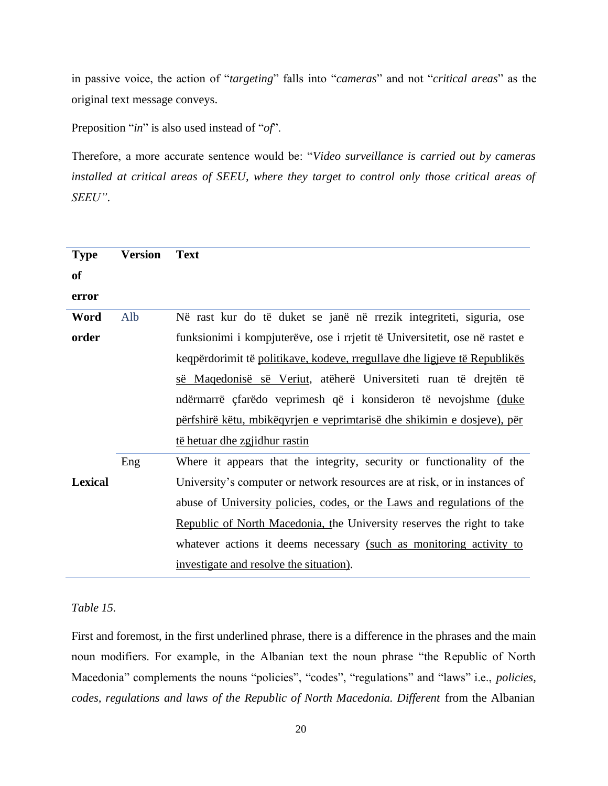in passive voice, the action of "*targeting*" falls into "*cameras*" and not "*critical areas*" as the original text message conveys.

Preposition "*in*" is also used instead of "*of*".

Therefore, a more accurate sentence would be: "*Video surveillance is carried out by cameras installed at critical areas of SEEU, where they target to control only those critical areas of SEEU"*.

| <b>Type</b>    | <b>Version</b> | <b>Text</b>                                                                 |
|----------------|----------------|-----------------------------------------------------------------------------|
| of             |                |                                                                             |
| error          |                |                                                                             |
| Word           | Alb            | Në rast kur do të duket se janë në rrezik integriteti, siguria, ose         |
| order          |                | funksionimi i kompjuterëve, ose i rrjetit të Universitetit, ose në rastet e |
|                |                | keqpërdorimit të politikave, kodeve, rregullave dhe ligjeve të Republikës   |
|                |                | së Maqedonisë së Veriut, atëherë Universiteti ruan të drejtën të            |
|                |                | ndërmarrë çfarëdo veprimesh që i konsideron të nevojshme (duke              |
|                |                | përfshirë këtu, mbikëqyrjen e veprimtarisë dhe shikimin e dosjeve), për     |
|                |                | të hetuar dhe zgjidhur rastin                                               |
|                | Eng            | Where it appears that the integrity, security or functionality of the       |
| <b>Lexical</b> |                | University's computer or network resources are at risk, or in instances of  |
|                |                | abuse of University policies, codes, or the Laws and regulations of the     |
|                |                | Republic of North Macedonia, the University reserves the right to take      |
|                |                | whatever actions it deems necessary (such as monitoring activity to         |
|                |                | investigate and resolve the situation).                                     |

### *Table 15.*

First and foremost, in the first underlined phrase, there is a difference in the phrases and the main noun modifiers. For example, in the Albanian text the noun phrase "the Republic of North Macedonia" complements the nouns "policies", "codes", "regulations" and "laws" i.e., *policies, codes, regulations and laws of the Republic of North Macedonia. Different* from the Albanian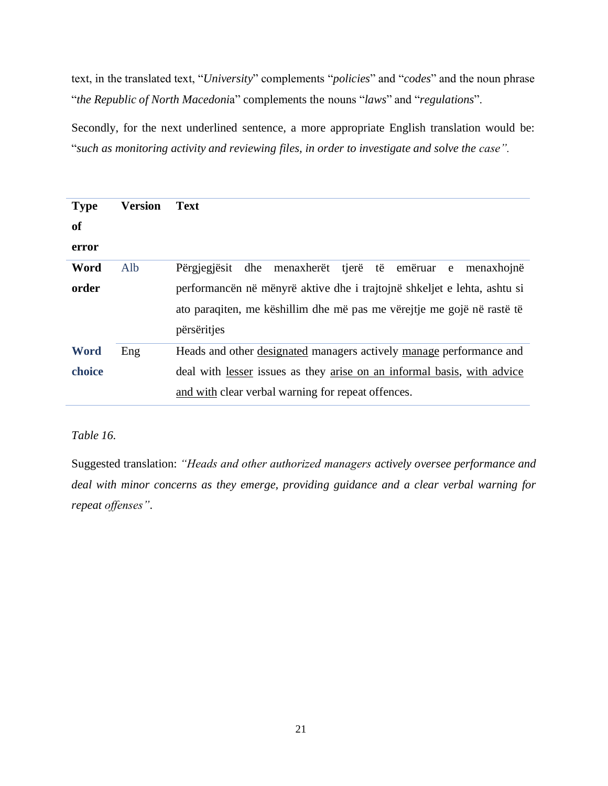text, in the translated text, "*University*" complements "*policies*" and "*codes*" and the noun phrase "*the Republic of North Macedoni*a" complements the nouns "*laws*" and "*regulations*".

Secondly, for the next underlined sentence, a more appropriate English translation would be: "*such as monitoring activity and reviewing files, in order to investigate and solve the case".*

| <b>Type</b><br>of     | <b>Version</b> | <b>Text</b>                                                                                                                                                                                          |
|-----------------------|----------------|------------------------------------------------------------------------------------------------------------------------------------------------------------------------------------------------------|
| error                 |                |                                                                                                                                                                                                      |
| Word                  | Alb            | Përgjegjësit<br>dhe menaxherët<br>tjerë të emëruar<br>menaxhojnë<br>e                                                                                                                                |
| order                 |                | performancën në mënyrë aktive dhe i trajtojnë shkeljet e lehta, ashtu si<br>ato paraqiten, me këshillim dhe më pas me vërejtje me gojë në rastë të<br>përsëritjes                                    |
| <b>Word</b><br>choice | Eng            | Heads and other designated managers actively manage performance and<br>deal with lesser issues as they arise on an informal basis, with advice<br>and with clear verbal warning for repeat offences. |

### *Table 16.*

Suggested translation: *"Heads and other authorized managers actively oversee performance and deal with minor concerns as they emerge, providing guidance and a clear verbal warning for repeat offenses"*.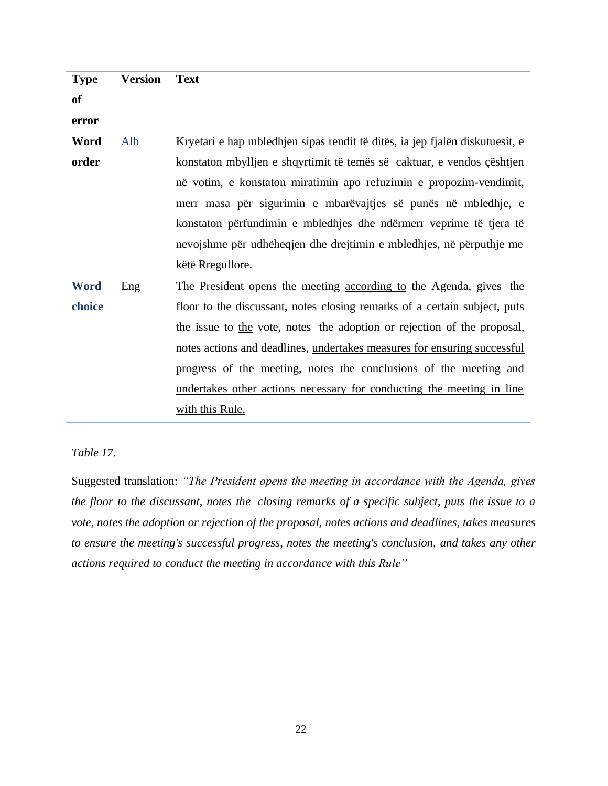| <b>Type</b> | <b>Version</b> | Text |
|-------------|----------------|------|
|-------------|----------------|------|

**of**

**error**

**Word order** Alb Kryetari e hap mbledhjen sipas rendit të ditës, ia jep fjalën diskutuesit, e konstaton mbylljen e shqyrtimit të temës së caktuar, e vendos çështjen në votim, e konstaton miratimin apo refuzimin e propozim-vendimit, merr masa për sigurimin e mbarëvajtjes së punës në mbledhje, e konstaton përfundimin e mbledhjes dhe ndërmerr veprime të tjera të nevojshme për udhëheqjen dhe drejtimin e mbledhjes, në përputhje me këtë Rregullore.

**Word choice** Eng The President opens the meeting according to the Agenda, gives the floor to the discussant, notes closing remarks of a certain subject, puts the issue to the vote, notes the adoption or rejection of the proposal, notes actions and deadlines, undertakes measures for ensuring successful progress of the meeting, notes the conclusions of the meeting and undertakes other actions necessary for conducting the meeting in line with this Rule.

*Table 17.*

Suggested translation: *"The President opens the meeting in accordance with the Agenda, gives the floor to the discussant, notes the closing remarks of a specific subject, puts the issue to a vote, notes the adoption or rejection of the proposal, notes actions and deadlines, takes measures to ensure the meeting's successful progress, notes the meeting's conclusion, and takes any other actions required to conduct the meeting in accordance with this Rule"*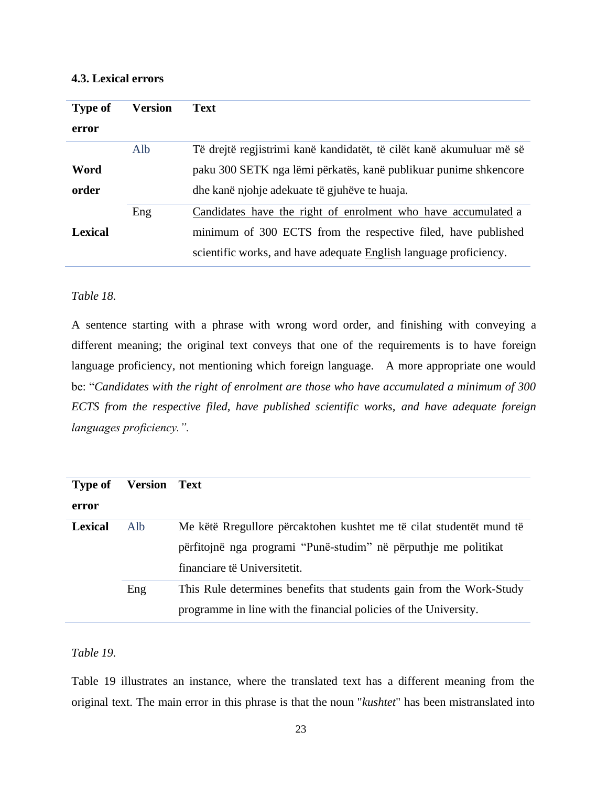# <span id="page-29-0"></span>**4.3. Lexical errors**

| <b>Type of</b> | Version | <b>Text</b>                                                          |
|----------------|---------|----------------------------------------------------------------------|
| error          |         |                                                                      |
|                | Alb     | Të drejtë regjistrimi kanë kandidatët, të cilët kanë akumuluar më së |
| Word           |         | paku 300 SETK nga lëmi përkatës, kanë publikuar punime shkencore     |
| order          |         | dhe kanë njohje adekuate të gjuhëve te huaja.                        |
|                | Eng     | Candidates have the right of enrolment who have accumulated a        |
| <b>Lexical</b> |         | minimum of 300 ECTS from the respective filed, have published        |
|                |         | scientific works, and have adequate English language proficiency.    |

# *Table 18.*

A sentence starting with a phrase with wrong word order, and finishing with conveying a different meaning; the original text conveys that one of the requirements is to have foreign language proficiency, not mentioning which foreign language. A more appropriate one would be: "*Candidates with the right of enrolment are those who have accumulated a minimum of 300 ECTS from the respective filed, have published scientific works, and have adequate foreign languages proficiency.".*

| <b>Type of</b> | <b>Version Text</b> |                                                                      |
|----------------|---------------------|----------------------------------------------------------------------|
| error          |                     |                                                                      |
| <b>Lexical</b> | Alb                 | Me këtë Rregullore përcaktohen kushtet me të cilat studentët mund të |
|                |                     | përfitojnë nga programi "Punë-studim" në përputhje me politikat      |
|                |                     | financiare të Universitetit.                                         |
|                | Eng                 | This Rule determines benefits that students gain from the Work-Study |
|                |                     | programme in line with the financial policies of the University.     |

# *Table 19.*

Table 19 illustrates an instance, where the translated text has a different meaning from the original text. The main error in this phrase is that the noun "*kushtet*" has been mistranslated into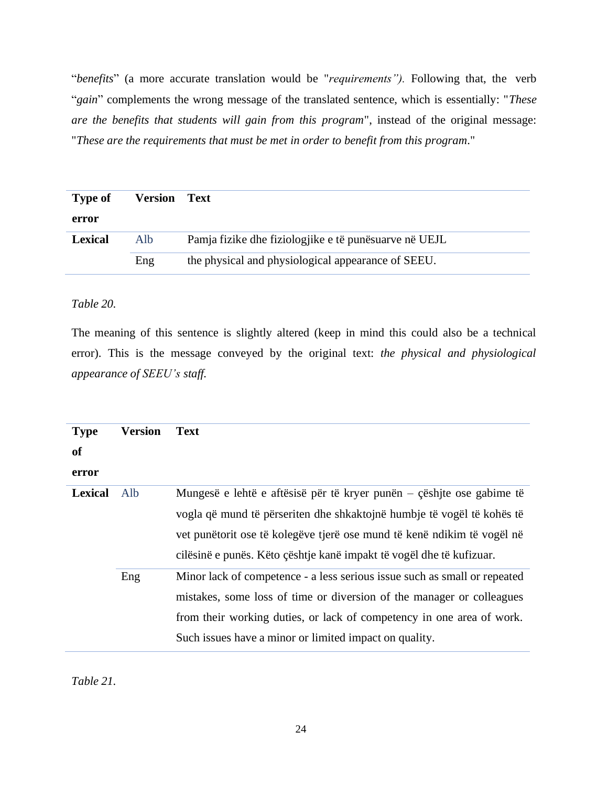"*benefits*" (a more accurate translation would be "*requirements").* Following that, the verb "*gain*" complements the wrong message of the translated sentence, which is essentially: "*These are the benefits that students will gain from this program*", instead of the original message: "*These are the requirements that must be met in order to benefit from this program*."

| <b>Type of</b> | <b>Version Text</b> |                                                       |
|----------------|---------------------|-------------------------------------------------------|
| error          |                     |                                                       |
| <b>Lexical</b> | Alb                 | Pamja fizike dhe fiziologjike e të punësuarve në UEJL |
|                | Eng                 | the physical and physiological appearance of SEEU.    |

# *Table 20.*

The meaning of this sentence is slightly altered (keep in mind this could also be a technical error). This is the message conveyed by the original text: *the physical and physiological appearance of SEEU's staff.*

| <b>Type</b><br><b>of</b><br>error | <b>Version</b> | <b>Text</b>                                                                                                                                                                                                                                                                                                    |
|-----------------------------------|----------------|----------------------------------------------------------------------------------------------------------------------------------------------------------------------------------------------------------------------------------------------------------------------------------------------------------------|
| <b>Lexical</b>                    | Alb            | Mungesë e lehtë e aftësisë për të kryer punën $-\frac{1}{2}$ eshite ose gabime të<br>vogla që mund të përseriten dhe shkaktojnë humbje të vogël të kohës të<br>vet punëtorit ose të kolegëve tjerë ose mund të kenë ndikim të vogël në<br>cilësinë e punës. Këto çështje kanë impakt të vogël dhe të kufizuar. |
|                                   | Eng            | Minor lack of competence - a less serious issue such as small or repeated<br>mistakes, some loss of time or diversion of the manager or colleagues<br>from their working duties, or lack of competency in one area of work.<br>Such issues have a minor or limited impact on quality.                          |

*Table 21.*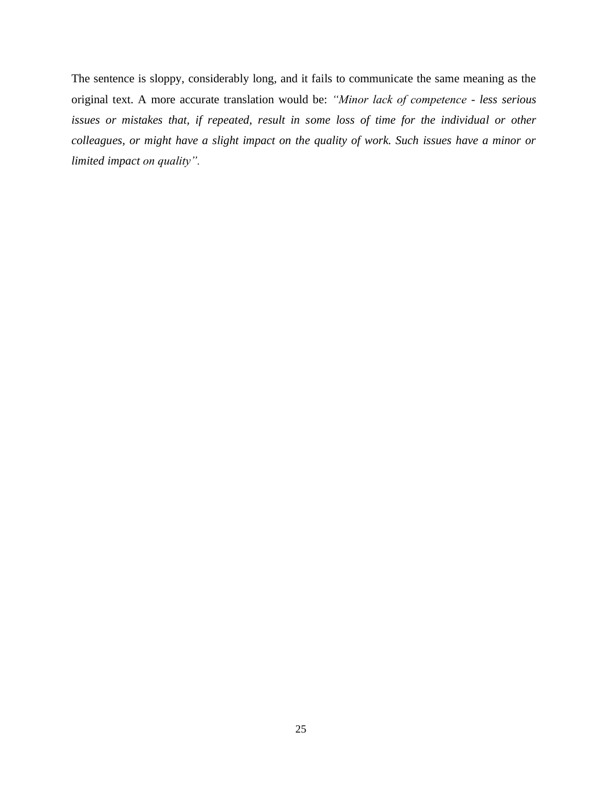The sentence is sloppy, considerably long, and it fails to communicate the same meaning as the original text. A more accurate translation would be: *"Minor lack of competence - less serious issues or mistakes that, if repeated, result in some loss of time for the individual or other colleagues, or might have a slight impact on the quality of work. Such issues have a minor or limited impact on quality".*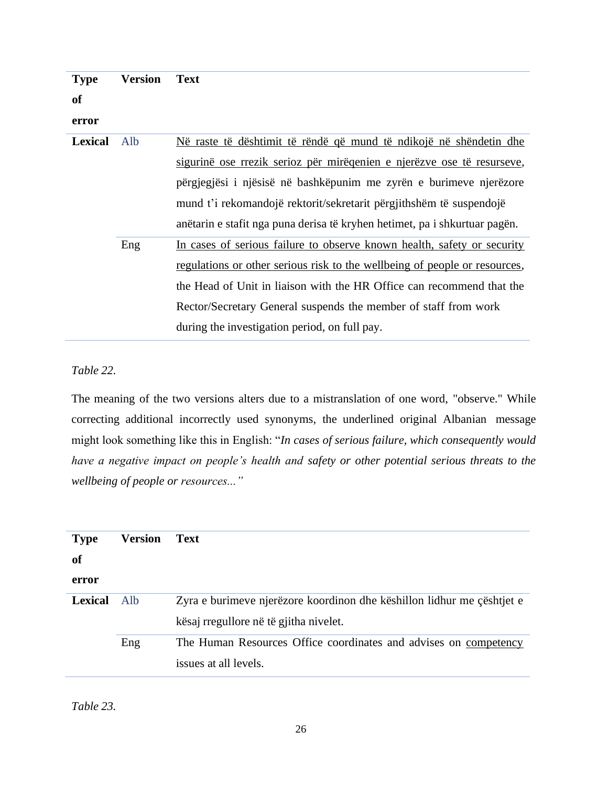| <b>Type</b>    | Version | <b>Text</b>                                                                |
|----------------|---------|----------------------------------------------------------------------------|
| <b>of</b>      |         |                                                                            |
| error          |         |                                                                            |
| <b>Lexical</b> | Alb     | Në raste të dështimit të rëndë që mund të ndikojë në shëndetin dhe         |
|                |         | sigurinë ose rrezik serioz për mirëqenien e njerëzve ose të resurseve,     |
|                |         | përgjegjësi i njësisë në bashkëpunim me zyrën e burimeve njerëzore         |
|                |         | mund t'i rekomandojë rektorit/sekretarit përgjithshëm të suspendojë        |
|                |         | anëtarin e stafit nga puna derisa të kryhen hetimet, pa i shkurtuar pagën. |
|                | Eng     | In cases of serious failure to observe known health, safety or security    |
|                |         | regulations or other serious risk to the wellbeing of people or resources, |
|                |         | the Head of Unit in liaison with the HR Office can recommend that the      |
|                |         | Rector/Secretary General suspends the member of staff from work            |
|                |         | during the investigation period, on full pay.                              |

# *Table 22.*

The meaning of the two versions alters due to a mistranslation of one word, "observe." While correcting additional incorrectly used synonyms, the underlined original Albanian message might look something like this in English: "*In cases of serious failure, which consequently would have a negative impact on people's health and safety or other potential serious threats to the wellbeing of people or resources..."*

| <b>Type</b>    | Version | <b>Text</b>                                                            |
|----------------|---------|------------------------------------------------------------------------|
| of             |         |                                                                        |
| error          |         |                                                                        |
| <b>Lexical</b> | Alb     | Zyra e burimeve njerëzore koordinon dhe këshillon lidhur me çështjet e |
|                |         | kësaj rregullore në të gjitha nivelet.                                 |
|                | Eng     | The Human Resources Office coordinates and advises on competency       |
|                |         | issues at all levels.                                                  |

*Table 23.*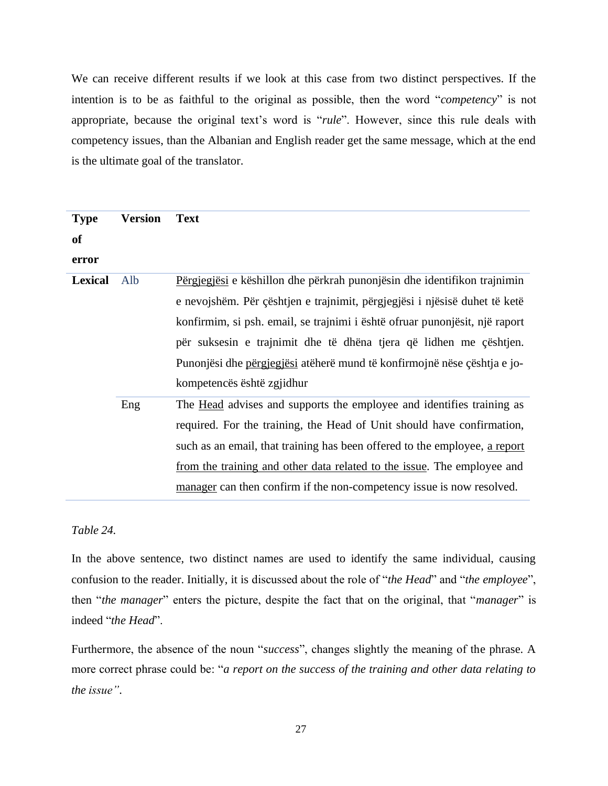We can receive different results if we look at this case from two distinct perspectives. If the intention is to be as faithful to the original as possible, then the word "*competency*" is not appropriate, because the original text's word is "*rule*". However, since this rule deals with competency issues, than the Albanian and English reader get the same message, which at the end is the ultimate goal of the translator.

| <b>Type</b><br><b>of</b><br>error | <b>Version</b> | <b>Text</b>                                                                                                                                                                                                                                                                                                                                                                                                           |
|-----------------------------------|----------------|-----------------------------------------------------------------------------------------------------------------------------------------------------------------------------------------------------------------------------------------------------------------------------------------------------------------------------------------------------------------------------------------------------------------------|
| <b>Lexical</b>                    | Alb            | Përgjegjësi e këshillon dhe përkrah punonjësin dhe identifikon trajnimin<br>e nevojshëm. Për çështjen e trajnimit, përgjegjësi i njësisë duhet të ketë<br>konfirmim, si psh. email, se trajnimi i është ofruar punonjësit, një raport<br>për suksesin e trajnimit dhe të dhëna tjera që lidhen me çështjen.<br>Punonjësi dhe përgjegjësi atëherë mund të konfirmojnë nëse çështja e jo-<br>kompetencës është zgjidhur |
|                                   | Eng            | The <u>Head</u> advises and supports the employee and identifies training as<br>required. For the training, the Head of Unit should have confirmation,<br>such as an email, that training has been offered to the employee, a report<br>from the training and other data related to the issue. The employee and<br>manager can then confirm if the non-competency issue is now resolved.                              |

# *Table 24.*

In the above sentence, two distinct names are used to identify the same individual, causing confusion to the reader. Initially, it is discussed about the role of "*the Head*" and "*the employee*", then "*the manager*" enters the picture, despite the fact that on the original, that "*manager*" is indeed "*the Head*".

Furthermore, the absence of the noun "*success*", changes slightly the meaning of the phrase. A more correct phrase could be: "*a report on the success of the training and other data relating to the issue"*.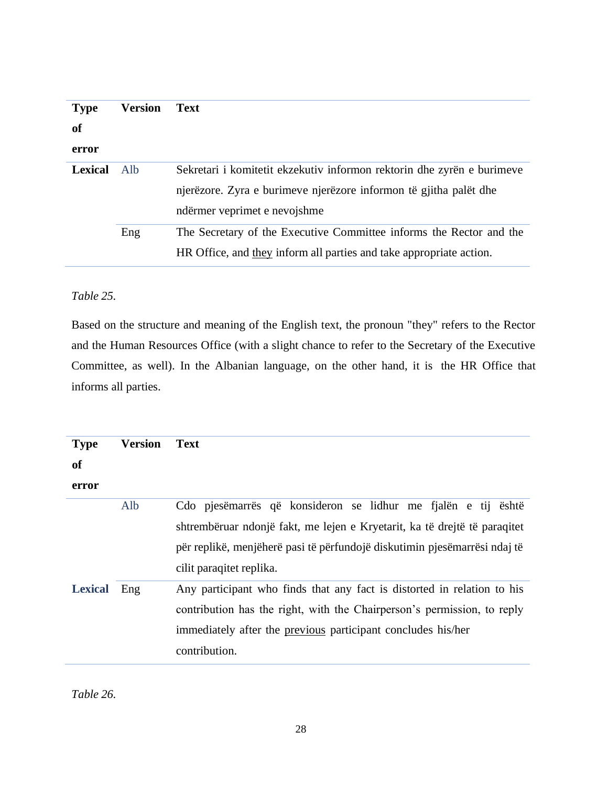| <b>Type</b><br><b>of</b> | <b>Version</b> | <b>Text</b>                                                                                                                                                                 |
|--------------------------|----------------|-----------------------------------------------------------------------------------------------------------------------------------------------------------------------------|
| error                    |                |                                                                                                                                                                             |
| <b>Lexical</b>           | Alb.           | Sekretari i komitetit ekzekutiv informon rektorin dhe zyrën e burimeve<br>njerëzore. Zyra e burimeve njerëzore informon të gjitha palët dhe<br>ndërmer veprimet e nevojshme |
|                          | Eng            | The Secretary of the Executive Committee informs the Rector and the<br>HR Office, and they inform all parties and take appropriate action.                                  |

# *Table 25.*

Based on the structure and meaning of the English text, the pronoun "they" refers to the Rector and the Human Resources Office (with a slight chance to refer to the Secretary of the Executive Committee, as well). In the Albanian language, on the other hand, it is the HR Office that informs all parties.

| <b>Type</b>    | <b>Version</b> | <b>Text</b>                                                                                                                                                                                                                                         |
|----------------|----------------|-----------------------------------------------------------------------------------------------------------------------------------------------------------------------------------------------------------------------------------------------------|
| <b>of</b>      |                |                                                                                                                                                                                                                                                     |
| error          |                |                                                                                                                                                                                                                                                     |
|                | Alb            | Cdo pjesëmarrës që konsideron se lidhur me fjalën e tij është<br>shtrembëruar ndonjë fakt, me lejen e Kryetarit, ka të drejtë të paraqitet<br>për replikë, menjëherë pasi të përfundojë diskutimin pjesëmarrësi ndaj të<br>cilit paraqitet replika. |
| <b>Lexical</b> | Eng            | Any participant who finds that any fact is distorted in relation to his<br>contribution has the right, with the Chairperson's permission, to reply<br>immediately after the previous participant concludes his/her<br>contribution.                 |

*Table 26.*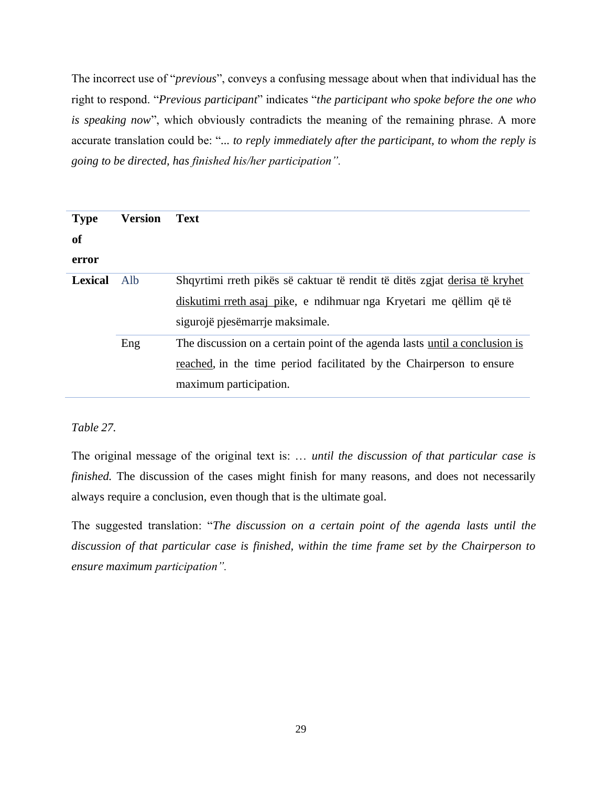The incorrect use of "*previous*", conveys a confusing message about when that individual has the right to respond. "*Previous participant*" indicates "*the participant who spoke before the one who is speaking now*", which obviously contradicts the meaning of the remaining phrase. A more accurate translation could be: "*... to reply immediately after the participant, to whom the reply is going to be directed, has finished his/her participation".*

| <b>Type</b><br><b>of</b><br>error | <b>Version</b> | <b>Text</b>                                                                                                                                                                         |
|-----------------------------------|----------------|-------------------------------------------------------------------------------------------------------------------------------------------------------------------------------------|
| <b>Lexical</b>                    | Alb            | Shqyrtimi rreth pikës së caktuar të rendit të ditës zgjat derisa të kryhet<br>diskutimi rreth asaj pike, e ndihmuar nga Kryetari me qëllim që të<br>sigurojë pjesëmarrje maksimale. |
|                                   | Eng            | The discussion on a certain point of the agenda lasts until a conclusion is<br>reached, in the time period facilitated by the Chairperson to ensure<br>maximum participation.       |

*Table 27.*

The original message of the original text is: … *until the discussion of that particular case is finished*. The discussion of the cases might finish for many reasons, and does not necessarily always require a conclusion, even though that is the ultimate goal.

The suggested translation: "*The discussion on a certain point of the agenda lasts until the discussion of that particular case is finished, within the time frame set by the Chairperson to ensure maximum participation".*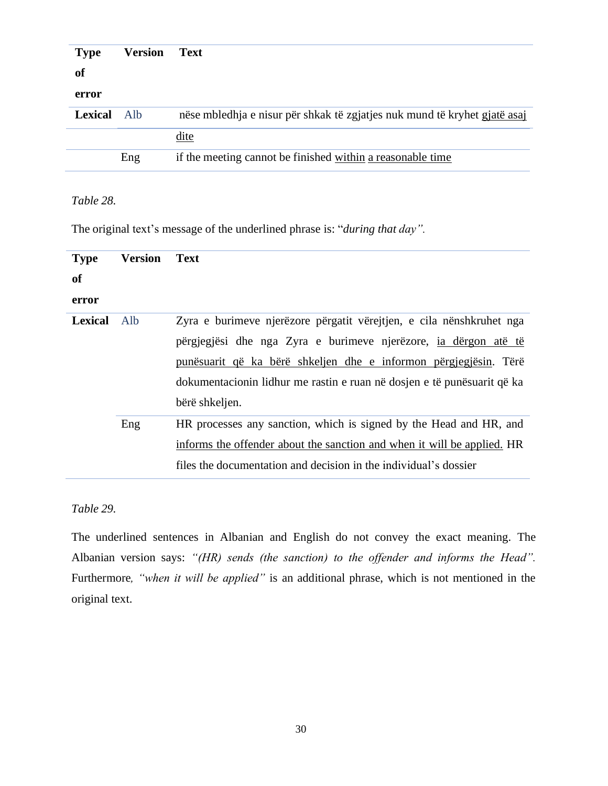| <b>Type</b>    | <b>Version</b> | <b>Text</b>                                                               |
|----------------|----------------|---------------------------------------------------------------------------|
| of             |                |                                                                           |
| error          |                |                                                                           |
| <b>Lexical</b> | Alb            | nëse mbledhja e nisur për shkak të zgjatjes nuk mund të kryhet gjatë asaj |
|                |                | dite                                                                      |
|                | Eng            | if the meeting cannot be finished within a reasonable time                |

### *Table 28.*

The original text's message of the underlined phrase is: "*during that day".*

| <b>Type</b>    | <b>Version</b> | <b>Text</b>                                                             |
|----------------|----------------|-------------------------------------------------------------------------|
| <b>of</b>      |                |                                                                         |
| error          |                |                                                                         |
| <b>Lexical</b> | Alb            | Zyra e burimeve njerëzore përgatit vërejtjen, e cila nënshkruhet nga    |
|                |                | përgjegjësi dhe nga Zyra e burimeve njerëzore, <u>ia dërgon atë të</u>  |
|                |                | punësuarit që ka bërë shkeljen dhe e informon përgjegjësin. Tërë        |
|                |                | dokumentacionin lidhur me rastin e ruan në dosjen e të punësuarit që ka |
|                |                | bërë shkeljen.                                                          |
|                | Eng            | HR processes any sanction, which is signed by the Head and HR, and      |
|                |                | informs the offender about the sanction and when it will be applied. HR |
|                |                | files the documentation and decision in the individual's dossier        |

# *Table 29.*

The underlined sentences in Albanian and English do not convey the exact meaning. The Albanian version says: *"(HR) sends (the sanction) to the offender and informs the Head".* Furthermore*, "when it will be applied"* is an additional phrase, which is not mentioned in the original text.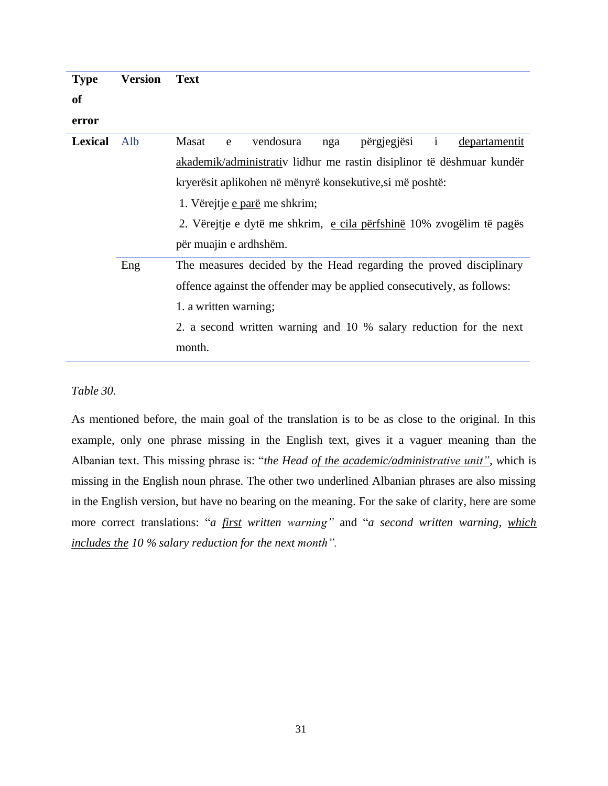| <b>Type</b>    | <b>Version</b> | <b>Text</b>                                                                    |
|----------------|----------------|--------------------------------------------------------------------------------|
| <b>of</b>      |                |                                                                                |
| error          |                |                                                                                |
| <b>Lexical</b> | Alb            | vendosura<br>përgjegjësi<br>Masat<br>$\mathbf{i}$<br>departamentit<br>nga<br>e |
|                |                | akademik/administrativ lidhur me rastin disiplinor të dëshmuar kundër          |
|                |                | kryerësit aplikohen në mënyrë konsekutive, si më poshtë:                       |
|                |                | 1. Vërejtje e parë me shkrim;                                                  |
|                |                | 2. Vërejtje e dytë me shkrim, e cila përfshinë 10% zvogëlim të pagës           |
|                |                | për muajin e ardhshëm.                                                         |
|                | Eng            | The measures decided by the Head regarding the proved disciplinary             |
|                |                | offence against the offender may be applied consecutively, as follows:         |
|                |                | 1. a written warning;                                                          |
|                |                | 2. a second written warning and 10 % salary reduction for the next             |
|                |                | month.                                                                         |

#### *Table 30.*

As mentioned before, the main goal of the translation is to be as close to the original. In this example, only one phrase missing in the English text, gives it a vaguer meaning than the Albanian text. This missing phrase is: "*the Head of the academic/administrative unit", w*hich is missing in the English noun phrase. The other two underlined Albanian phrases are also missing in the English version, but have no bearing on the meaning. For the sake of clarity, here are some more correct translations: "*a first written warning"* and "*a second written warning, which includes the 10 % salary reduction for the next month".*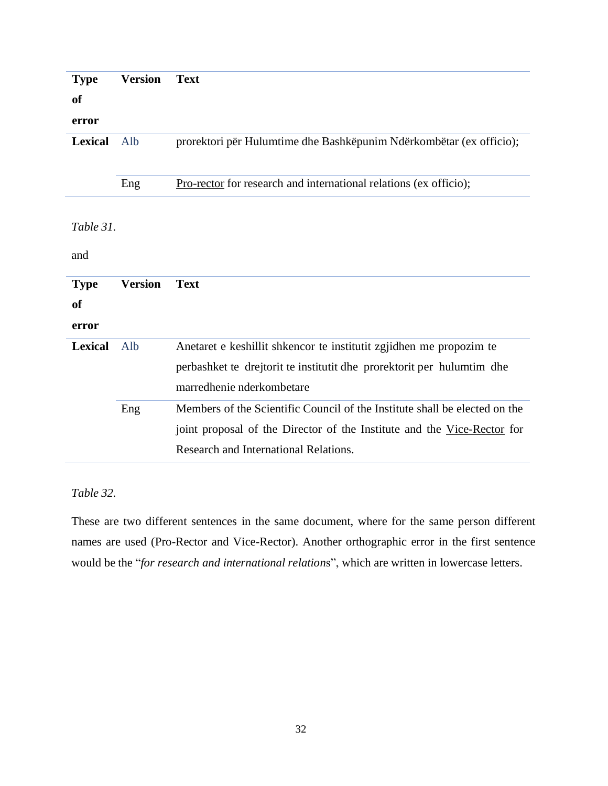| <b>Type</b>    | <b>Version</b> | <b>Text</b>                                                                |
|----------------|----------------|----------------------------------------------------------------------------|
| of             |                |                                                                            |
| error          |                |                                                                            |
| <b>Lexical</b> | Alb            | prorektori për Hulumtime dhe Bashkëpunim Ndërkombëtar (ex officio);        |
|                | Eng            | <b>Pro-rector</b> for research and international relations (ex officio);   |
| Table 31.      |                |                                                                            |
| and            |                |                                                                            |
| <b>Type</b>    | <b>Version</b> | <b>Text</b>                                                                |
| <b>of</b>      |                |                                                                            |
| error          |                |                                                                            |
| <b>Lexical</b> | Alb            | Anetaret e keshillit shkencor te institutit zgjidhen me propozim te        |
|                |                | perbashket te drejtorit te institutit dhe prorektorit per hulumtim dhe     |
|                |                | marredhenie nderkombetare                                                  |
|                | Eng            | Members of the Scientific Council of the Institute shall be elected on the |
|                |                | joint proposal of the Director of the Institute and the Vice-Rector for    |
|                |                | Research and International Relations.                                      |

# *Table 32.*

These are two different sentences in the same document, where for the same person different names are used (Pro-Rector and Vice-Rector). Another orthographic error in the first sentence would be the "*for research and international relation*s", which are written in lowercase letters.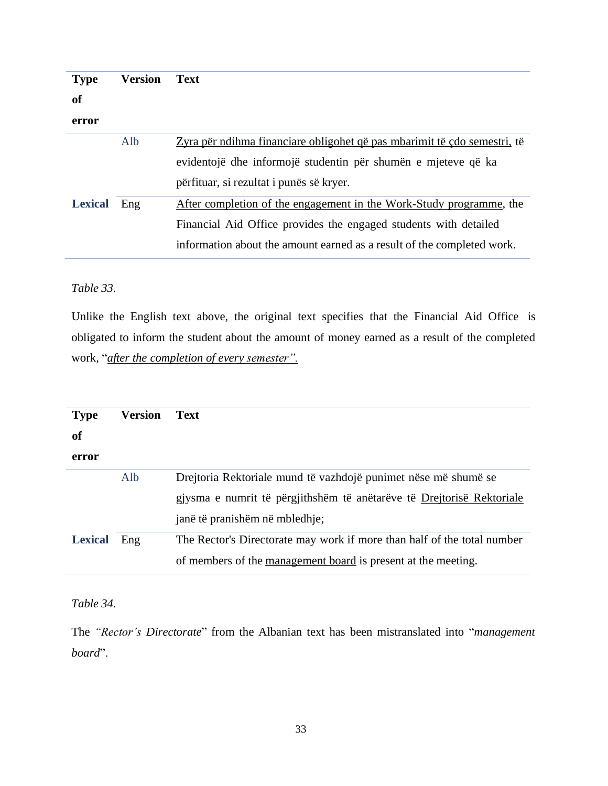| <b>Type</b>    | <b>Version</b> | <b>Text</b>                                                              |
|----------------|----------------|--------------------------------------------------------------------------|
| <b>of</b>      |                |                                                                          |
| error          |                |                                                                          |
|                | Alb            | Zyra për ndihma financiare obligohet që pas mbarimit të çdo semestri, të |
|                |                | evidentojë dhe informojë studentin për shumën e mjeteve që ka            |
|                |                | përfituar, si rezultat i punës së kryer.                                 |
| <b>Lexical</b> | Eng            | After completion of the engagement in the Work-Study programme, the      |
|                |                | Financial Aid Office provides the engaged students with detailed         |
|                |                | information about the amount earned as a result of the completed work.   |

### *Table 33.*

Unlike the English text above, the original text specifies that the Financial Aid Office is obligated to inform the student about the amount of money earned as a result of the completed work, "*after the completion of every semester".*

| <b>Type</b><br>of<br>error | <b>Version</b> | <b>Text</b>                                                                                                                                                               |
|----------------------------|----------------|---------------------------------------------------------------------------------------------------------------------------------------------------------------------------|
|                            | Alb            | Drejtoria Rektoriale mund të vazhdojë punimet nëse më shumë se<br>gjysma e numrit të përgjithshëm të anëtarëve të Drejtorisë Rektoriale<br>janë të pranishëm në mbledhje; |
| <b>Lexical</b>             | Eng            | The Rector's Directorate may work if more than half of the total number<br>of members of the management board is present at the meeting.                                  |

*Table 34.*

L

The *"Rector's Directorate*" from the Albanian text has been mistranslated into "*management board*".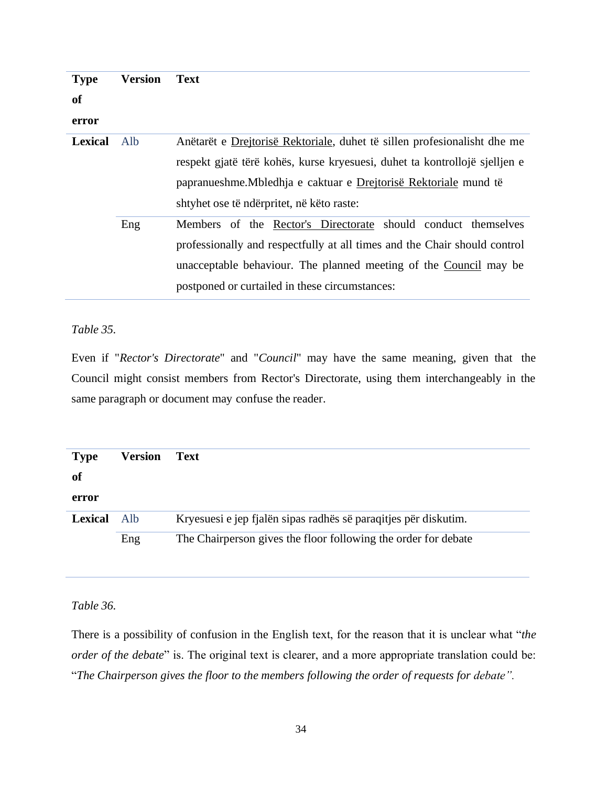| <b>Type</b>    | <b>Version</b> | <b>Text</b>                                                                |
|----------------|----------------|----------------------------------------------------------------------------|
| <b>of</b>      |                |                                                                            |
| error          |                |                                                                            |
| <b>Lexical</b> | Alb.           | Anëtarët e Drejtorisë Rektoriale, duhet të sillen profesionalisht dhe me   |
|                |                | respekt gjatë tërë kohës, kurse kryesuesi, duhet ta kontrollojë sjelljen e |
|                |                | papranueshme. Mbledhja e caktuar e Drejtorisë Rektoriale mund të           |
|                |                | shtyhet ose të ndërpritet, në këto raste:                                  |
|                | Eng            | Members of the Rector's Directorate should conduct themselves              |
|                |                | professionally and respectfully at all times and the Chair should control  |
|                |                | unacceptable behaviour. The planned meeting of the Council may be          |
|                |                | postponed or curtailed in these circumstances:                             |
|                |                |                                                                            |

*Table 35.*

Even if "*Rector's Directorate*" and "*Council*" may have the same meaning, given that the Council might consist members from Rector's Directorate, using them interchangeably in the same paragraph or document may confuse the reader.

| <b>Type</b><br>of | <b>Version</b> | <b>Text</b>                                                     |
|-------------------|----------------|-----------------------------------------------------------------|
| error             |                |                                                                 |
| <b>Lexical</b>    | Alb            | Kryesuesi e jep fjalën sipas radhës së paraqitjes për diskutim. |
|                   | Eng            | The Chairperson gives the floor following the order for debate  |

*Table 36.*

There is a possibility of confusion in the English text, for the reason that it is unclear what "*the order of the debate*" is. The original text is clearer, and a more appropriate translation could be: "*The Chairperson gives the floor to the members following the order of requests for debate".*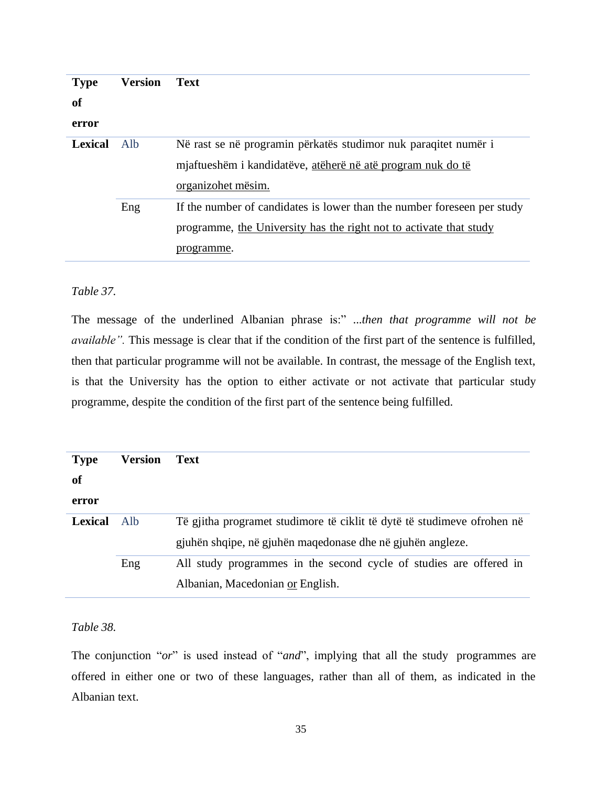| <b>Type</b><br><b>of</b><br>error | <b>Version</b> | <b>Text</b>                                                                                                                                                 |
|-----------------------------------|----------------|-------------------------------------------------------------------------------------------------------------------------------------------------------------|
| Lexical                           | Alb            | Në rast se në programin përkatës studimor nuk paraqitet numër i<br>mjaftueshëm i kandidatëve, atëherë në atë program nuk do të<br>organizohet mësim.        |
|                                   | Eng            | If the number of candidates is lower than the number foreseen per study<br>programme, the University has the right not to activate that study<br>programme. |

### *Table 37.*

The message of the underlined Albanian phrase is:" ...*then that programme will not be available"*. This message is clear that if the condition of the first part of the sentence is fulfilled, then that particular programme will not be available. In contrast, the message of the English text, is that the University has the option to either activate or not activate that particular study programme, despite the condition of the first part of the sentence being fulfilled.

| <b>Type</b>    | <b>Version</b> | <b>Text</b>                                                             |
|----------------|----------------|-------------------------------------------------------------------------|
| of             |                |                                                                         |
| error          |                |                                                                         |
| <b>Lexical</b> | Alb            | Të gjitha programet studimore të ciklit të dytë të studimeve ofrohen në |
|                |                | gjuhën shqipe, në gjuhën maqedonase dhe në gjuhën angleze.              |
|                | Eng            | All study programmes in the second cycle of studies are offered in      |
|                |                | Albanian, Macedonian or English.                                        |

## *Table 38.*

The conjunction "*or*" is used instead of "*and*", implying that all the study programmes are offered in either one or two of these languages, rather than all of them, as indicated in the Albanian text.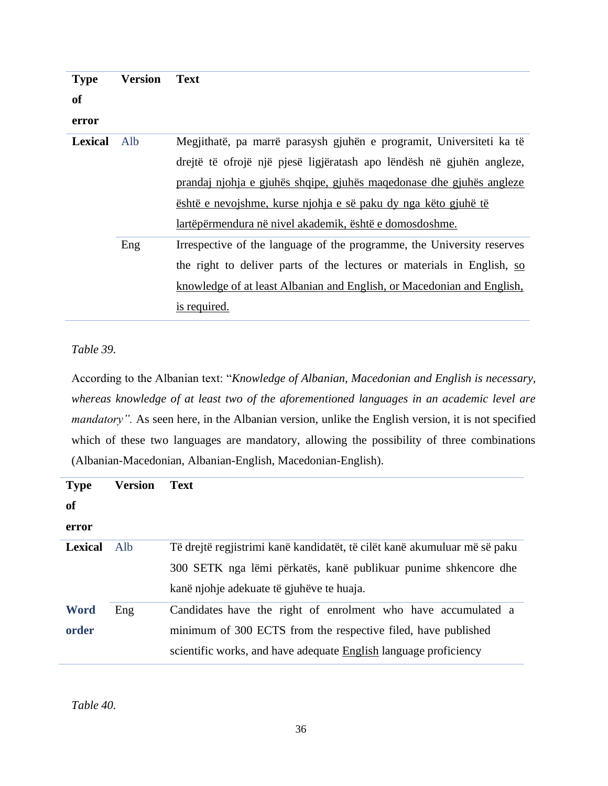| <b>Type</b>    | Version | <b>Text</b>                                                            |
|----------------|---------|------------------------------------------------------------------------|
| <b>of</b>      |         |                                                                        |
| error          |         |                                                                        |
| <b>Lexical</b> | Alb     | Megjithatë, pa marrë parasysh gjuhën e programit, Universiteti ka të   |
|                |         | drejtë të ofrojë një pjesë ligjëratash apo lëndësh në gjuhën angleze,  |
|                |         | prandaj njohja e gjuhës shqipe, gjuhës maqedonase dhe gjuhës angleze   |
|                |         | <u>është e nevojshme, kurse njohja e së paku dy nga këto gjuhë të</u>  |
|                |         | lartëpërmendura në nivel akademik, është e domosdoshme.                |
|                | Eng     | Irrespective of the language of the programme, the University reserves |
|                |         | the right to deliver parts of the lectures or materials in English, so |
|                |         | knowledge of at least Albanian and English, or Macedonian and English, |
|                |         | <u>is required.</u>                                                    |

*Table 39.*

According to the Albanian text: "*Knowledge of Albanian, Macedonian and English is necessary, whereas knowledge of at least two of the aforementioned languages in an academic level are mandatory"*. As seen here, in the Albanian version, unlike the English version, it is not specified which of these two languages are mandatory, allowing the possibility of three combinations (Albanian-Macedonian, Albanian-English, Macedonian-English).

| <b>Type</b>    | <b>Version</b> | <b>Text</b>                                                               |
|----------------|----------------|---------------------------------------------------------------------------|
| <b>of</b>      |                |                                                                           |
| error          |                |                                                                           |
| <b>Lexical</b> | Alb            | Të drejtë regjistrimi kanë kandidatët, të cilët kanë akumuluar më së paku |
|                |                | 300 SETK nga lëmi përkatës, kanë publikuar punime shkencore dhe           |
|                |                | kanë njohje adekuate të gjuhëve te huaja.                                 |
| <b>Word</b>    | Eng            | Candidates have the right of enrolment who have accumulated a             |
| order          |                | minimum of 300 ECTS from the respective filed, have published             |
|                |                | scientific works, and have adequate English language proficiency          |

*Table 40.*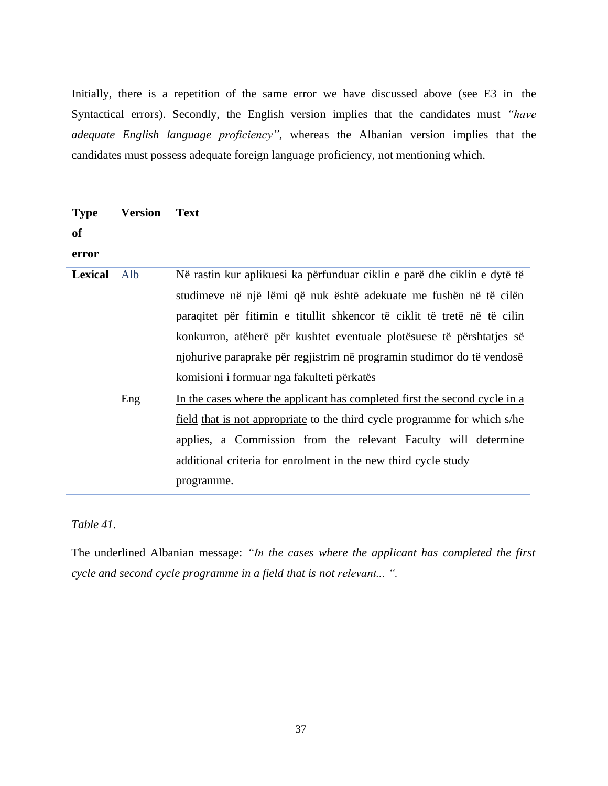Initially, there is a repetition of the same error we have discussed above (see E3 in the Syntactical errors). Secondly, the English version implies that the candidates must *"have adequate English language proficiency"*, whereas the Albanian version implies that the candidates must possess adequate foreign language proficiency, not mentioning which.

| <b>Type</b>    | <b>Version</b> | <b>Text</b>                                                                     |
|----------------|----------------|---------------------------------------------------------------------------------|
| <b>of</b>      |                |                                                                                 |
| error          |                |                                                                                 |
| <b>Lexical</b> | Alb            | <u>Në rastin kur aplikuesi ka përfunduar ciklin e parë dhe ciklin e dytë të</u> |
|                |                | studimeve në një lëmi që nuk është adekuate me fushën në të cilën               |
|                |                | paraqitet për fitimin e titullit shkencor të ciklit të tretë në të cilin        |
|                |                | konkurron, atëherë për kushtet eventuale plotësuese të përshtatjes së           |
|                |                | njohurive paraprake për regjistrim në programin studimor do të vendosë          |
|                |                | komisioni i formuar nga fakulteti përkatës                                      |
|                | Eng            | In the cases where the applicant has completed first the second cycle in a      |
|                |                | field that is not appropriate to the third cycle programme for which s/he       |
|                |                | applies, a Commission from the relevant Faculty will determine                  |
|                |                | additional criteria for enrolment in the new third cycle study                  |
|                |                | programme.                                                                      |

*Table 41.*

The underlined Albanian message: *"In the cases where the applicant has completed the first cycle and second cycle programme in a field that is not relevant... ".*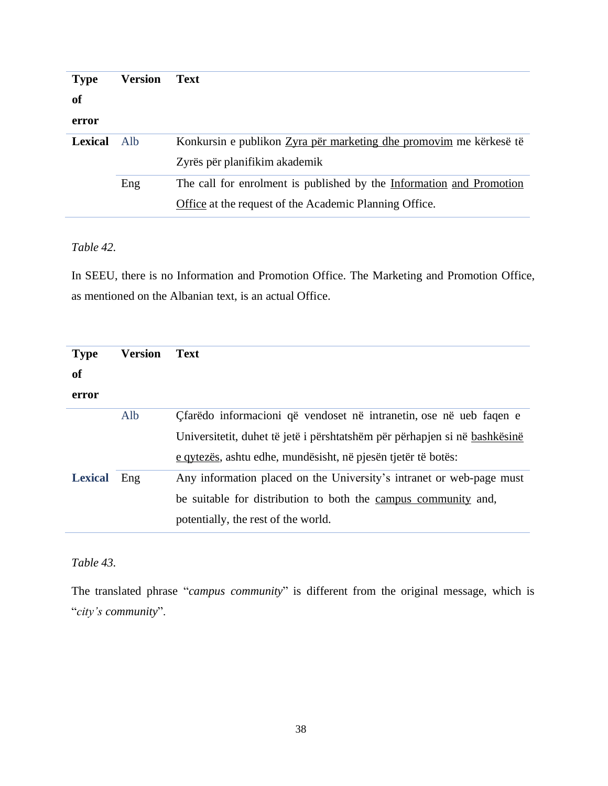| <b>Type</b>    | <b>Version</b> | <b>Text</b>                                                          |
|----------------|----------------|----------------------------------------------------------------------|
| <b>of</b>      |                |                                                                      |
| error          |                |                                                                      |
| <b>Lexical</b> | Alb.           | Konkursin e publikon Zyra për marketing dhe promovim me kërkesë të   |
|                |                | Zyrës për planifikim akademik                                        |
|                | Eng            | The call for enrolment is published by the Information and Promotion |
|                |                | Office at the request of the Academic Planning Office.               |

### *Table 42.*

In SEEU, there is no Information and Promotion Office. The Marketing and Promotion Office, as mentioned on the Albanian text, is an actual Office.

| <b>Type</b>    | <b>Version</b> | <b>Text</b>                                                                |
|----------------|----------------|----------------------------------------------------------------------------|
| <b>of</b>      |                |                                                                            |
| error          |                |                                                                            |
|                | Alb            | Cfarëdo informacioni që vendoset në intranetin, ose në ueb faqen e         |
|                |                | Universitetit, duhet të jetë i përshtatshëm për përhapjen si në bashkësinë |
|                |                | e qytezës, ashtu edhe, mundësisht, në pjesën tjetër të botës:              |
| <b>Lexical</b> | Eng            | Any information placed on the University's intranet or web-page must       |
|                |                | be suitable for distribution to both the campus community and,             |
|                |                | potentially, the rest of the world.                                        |

# *Table 43.*

The translated phrase "*campus community*" is different from the original message, which is "*city's community*".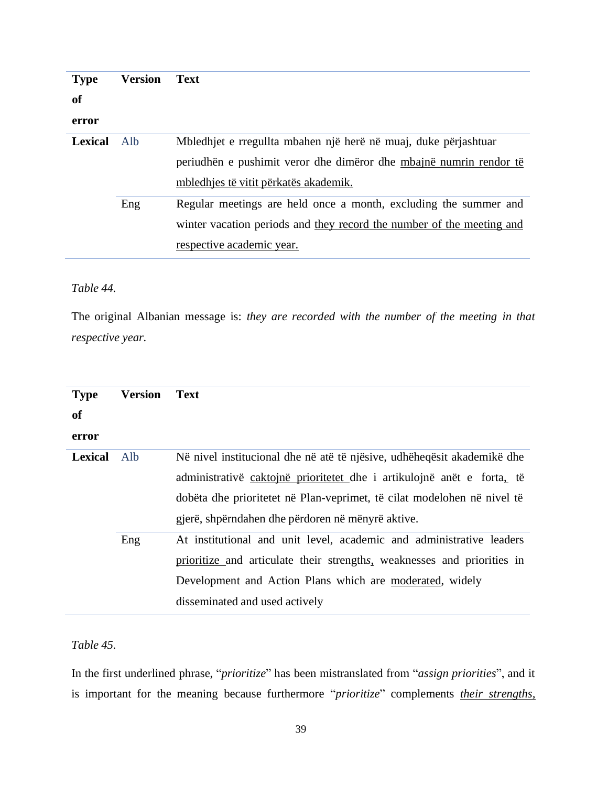| <b>Type</b>    | <b>Version</b> | <b>Text</b>                                                               |
|----------------|----------------|---------------------------------------------------------------------------|
| <b>of</b>      |                |                                                                           |
| error          |                |                                                                           |
| <b>Lexical</b> | Alb            | Mbledhjet e rregullta mbahen një herë në muaj, duke përjashtuar           |
|                |                | periudhën e pushimit veror dhe dimëror dhe <u>mbajnë numrin rendor të</u> |
|                |                | mbledhjes të vitit përkatës akademik.                                     |
|                | Eng            | Regular meetings are held once a month, excluding the summer and          |
|                |                | winter vacation periods and they record the number of the meeting and     |
|                |                | respective academic year.                                                 |

#### *Table 44.*

The original Albanian message is: *they are recorded with the number of the meeting in that respective year.*

| <b>Type</b><br><b>of</b><br>error | <b>Version</b> | <b>Text</b>                                                             |
|-----------------------------------|----------------|-------------------------------------------------------------------------|
| <b>Lexical</b>                    | Alb            | Në nivel institucional dhe në atë të njësive, udhëheqësit akademikë dhe |
|                                   |                | administrativë caktojnë prioritetet dhe i artikulojnë anët e forta, të  |
|                                   |                | dobëta dhe prioritetet në Plan-veprimet, të cilat modelohen në nivel të |
|                                   |                | gjerë, shpërndahen dhe përdoren në mënyrë aktive.                       |
|                                   | Eng            | At institutional and unit level, academic and administrative leaders    |
|                                   |                | prioritize and articulate their strengths, weaknesses and priorities in |
|                                   |                | Development and Action Plans which are moderated, widely                |
|                                   |                | disseminated and used actively                                          |

# *Table 45.*

In the first underlined phrase, "*prioritize*" has been mistranslated from "*assign priorities*", and it is important for the meaning because furthermore "*prioritize*" complements *their strengths,*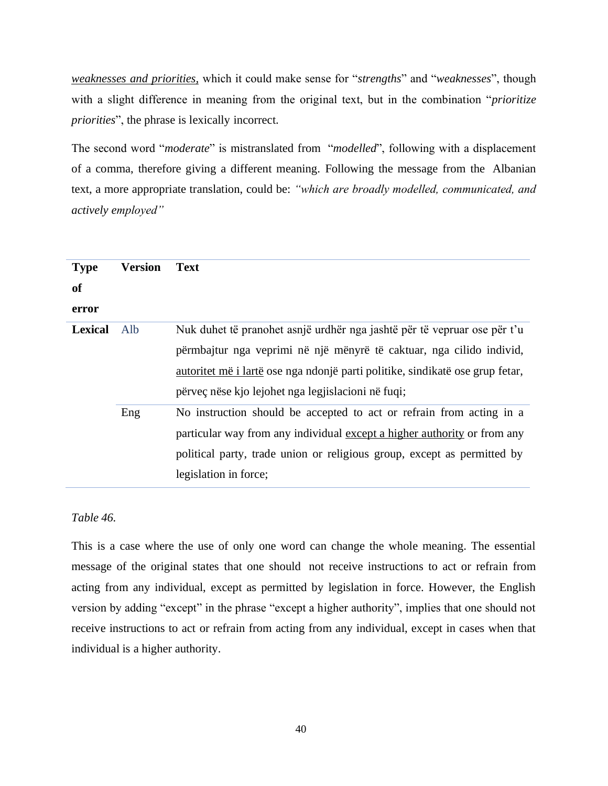*weaknesses and priorities,* which it could make sense for "*strengths*" and "*weaknesses*", though with a slight difference in meaning from the original text, but in the combination "*prioritize priorities*", the phrase is lexically incorrect.

The second word "*moderate*" is mistranslated from "*modelled*", following with a displacement of a comma, therefore giving a different meaning. Following the message from the Albanian text, a more appropriate translation, could be: *"which are broadly modelled, communicated, and actively employed"*

| <b>Type</b><br>of<br>error | <b>Version</b> | <b>Text</b>                                                                                                                                                                                                                                                                                    |
|----------------------------|----------------|------------------------------------------------------------------------------------------------------------------------------------------------------------------------------------------------------------------------------------------------------------------------------------------------|
| <b>Lexical</b>             | Alb            | Nuk duhet të pranohet asnjë urdhër nga jashtë për të vepruar ose për t'u<br>përmbajtur nga veprimi në një mënyrë të caktuar, nga cilido individ,<br><u>autoritet më i lartë</u> ose nga ndonjë parti politike, sindikatë ose grup fetar,<br>përveç nëse kjo lejohet nga legjislacioni në fuqi; |
|                            | Eng            | No instruction should be accepted to act or refrain from acting in a<br>particular way from any individual except a higher authority or from any<br>political party, trade union or religious group, except as permitted by<br>legislation in force;                                           |

#### *Table 46.*

This is a case where the use of only one word can change the whole meaning. The essential message of the original states that one should not receive instructions to act or refrain from acting from any individual, except as permitted by legislation in force. However, the English version by adding "except" in the phrase "except a higher authority", implies that one should not receive instructions to act or refrain from acting from any individual, except in cases when that individual is a higher authority.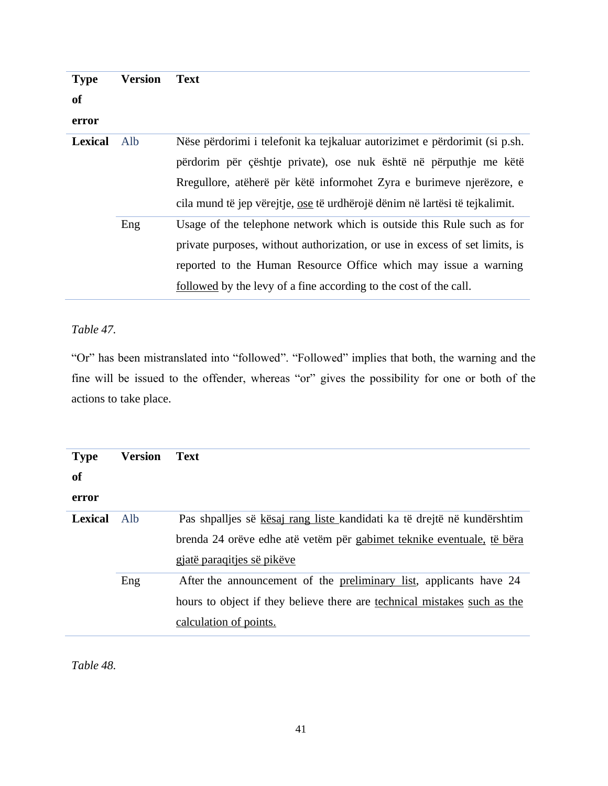| <b>Type</b><br><b>of</b> | <b>Version</b> | <b>Text</b>                                                                                                                                                                                                                                                                                            |
|--------------------------|----------------|--------------------------------------------------------------------------------------------------------------------------------------------------------------------------------------------------------------------------------------------------------------------------------------------------------|
| error                    |                |                                                                                                                                                                                                                                                                                                        |
| <b>Lexical</b>           | Alb            | Nëse përdorimi i telefonit ka tejkaluar autorizimet e përdorimit (si p.sh.<br>përdorim për çështje private), ose nuk është në përputhje me këtë<br>Rregullore, atëherë për këtë informohet Zyra e burimeve njerëzore, e<br>cila mund të jep vërejtje, ose të urdhërojë dënim në lartësi të tejkalimit. |
|                          | Eng            | Usage of the telephone network which is outside this Rule such as for<br>private purposes, without authorization, or use in excess of set limits, is<br>reported to the Human Resource Office which may issue a warning<br>followed by the levy of a fine according to the cost of the call.           |

# *Table 47.*

"Or" has been mistranslated into "followed". "Followed" implies that both, the warning and the fine will be issued to the offender, whereas "or" gives the possibility for one or both of the actions to take place.

| <b>Type</b>    | <b>Version</b> | <b>Text</b>                                                              |
|----------------|----------------|--------------------------------------------------------------------------|
| <b>of</b>      |                |                                                                          |
| error          |                |                                                                          |
| <b>Lexical</b> | Alb            | Pas shpalljes së kësaj rang liste kandidati ka të drejtë në kundërshtim  |
|                |                | brenda 24 orëve edhe atë vetëm për gabimet teknike eventuale, të bëra    |
|                |                | gjatë paraqitjes së pikëve                                               |
|                | Eng            | After the announcement of the preliminary list, applicants have 24       |
|                |                | hours to object if they believe there are technical mistakes such as the |
|                |                | calculation of points.                                                   |

*Table 48.*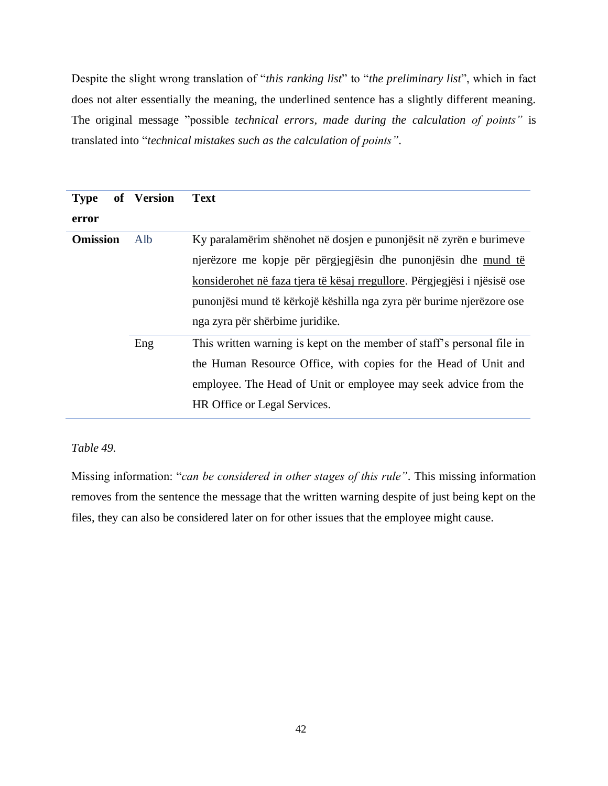Despite the slight wrong translation of "*this ranking list*" to "*the preliminary list*", which in fact does not alter essentially the meaning, the underlined sentence has a slightly different meaning. The original message "possible *technical errors, made during the calculation of points"* is translated into "*technical mistakes such as the calculation of points"*.

| <b>Type</b><br>error | of Version | <b>Text</b>                                                                                                                                                                                                                                                                                                                  |
|----------------------|------------|------------------------------------------------------------------------------------------------------------------------------------------------------------------------------------------------------------------------------------------------------------------------------------------------------------------------------|
| <b>Omission</b>      | Alb        | Ky paralamërim shënohet në dosjen e punonjësit në zyrën e burimeve<br>njerëzore me kopje për përgjegjësin dhe punonjësin dhe mund të<br>konsiderohet në faza tjera të kësaj rregullore. Përgjegjësi i njësisë ose<br>punonjësi mund të kërkojë këshilla nga zyra për burime njerëzore ose<br>nga zyra për shërbime juridike. |
|                      | Eng        | This written warning is kept on the member of staff's personal file in<br>the Human Resource Office, with copies for the Head of Unit and<br>employee. The Head of Unit or employee may seek advice from the<br>HR Office or Legal Services.                                                                                 |

# *Table 49.*

Missing information: "*can be considered in other stages of this rule"*. This missing information removes from the sentence the message that the written warning despite of just being kept on the files, they can also be considered later on for other issues that the employee might cause.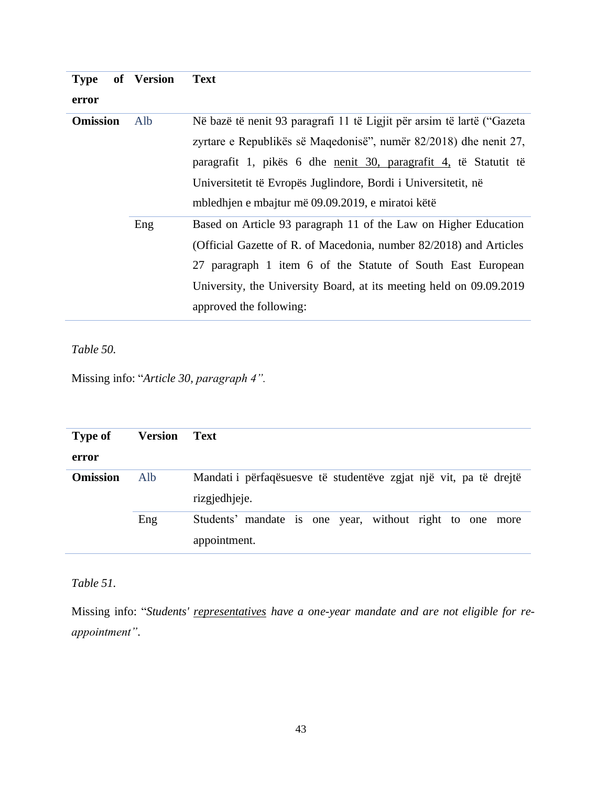| <b>Type</b>     | of Version | <b>Text</b>                                                              |
|-----------------|------------|--------------------------------------------------------------------------|
| error           |            |                                                                          |
| <b>Omission</b> | Alb        | Në bazë të nenit 93 paragrafi 11 të Ligjit për arsim të lartë ("Gazeta   |
|                 |            | zyrtare e Republikës së Maqedonisë", numër 82/2018) dhe nenit 27,        |
|                 |            | paragrafit 1, pikës 6 dhe <u>nenit 30, paragrafit 4</u> , të Statutit të |
|                 |            | Universitetit të Evropës Juglindore, Bordi i Universitetit, në           |
|                 |            | mbledhjen e mbajtur më 09.09.2019, e miratoi këtë                        |
|                 | Eng        | Based on Article 93 paragraph 11 of the Law on Higher Education          |
|                 |            | (Official Gazette of R. of Macedonia, number 82/2018) and Articles       |
|                 |            | 27 paragraph 1 item 6 of the Statute of South East European              |
|                 |            | University, the University Board, at its meeting held on 09.09.2019      |
|                 |            | approved the following:                                                  |

*Table 50.*

Missing info: "*Article 30, paragraph 4".*

| <b>Type of</b>  | Version | Text                                                              |
|-----------------|---------|-------------------------------------------------------------------|
| error           |         |                                                                   |
| <b>Omission</b> | Alb     | Mandati i përfaqësuesve të studentëve zgjat një vit, pa të drejtë |
|                 |         | rizgjedhjeje.                                                     |
|                 | Eng     | Students' mandate is one year, without right to one more          |
|                 |         | appointment.                                                      |

*Table 51.*

Missing info: "*Students' representatives have a one-year mandate and are not eligible for reappointment"*.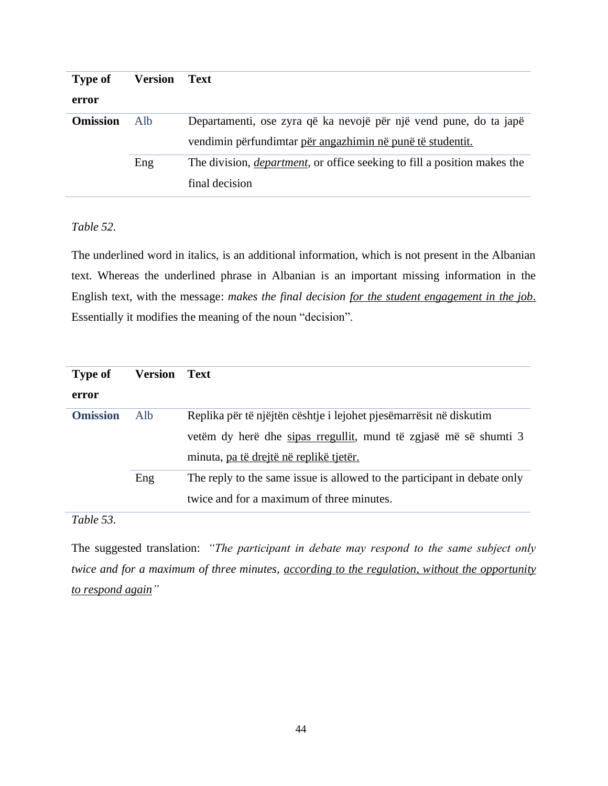| <b>Type of</b>  | Version | Text                                                                             |
|-----------------|---------|----------------------------------------------------------------------------------|
| error           |         |                                                                                  |
| <b>Omission</b> | Alb     | Departamenti, ose zyra që ka nevojë për një vend pune, do ta japë                |
|                 |         | vendimin përfundimtar për angazhimin në punë të studentit.                       |
|                 | Eng     | The division, <i>department</i> , or office seeking to fill a position makes the |
|                 |         | final decision                                                                   |

### *Table 52.*

The underlined word in italics, is an additional information, which is not present in the Albanian text. Whereas the underlined phrase in Albanian is an important missing information in the English text, with the message: *makes the final decision for the student engagement in the job*. Essentially it modifies the meaning of the noun "decision".

| <b>Type of</b>  | <b>Version</b> | Text                                                                     |
|-----------------|----------------|--------------------------------------------------------------------------|
| error           |                |                                                                          |
| <b>Omission</b> | Alb            | Replika për të njëjtën cështje i lejohet pjesëmarrësit në diskutim       |
|                 |                | vetëm dy herë dhe sipas rregullit, mund të zgjasë më së shumti 3         |
|                 |                | minuta, pa të drejtë në replikë tjetër.                                  |
|                 | Eng            | The reply to the same issue is allowed to the participant in debate only |
|                 |                | twice and for a maximum of three minutes.                                |

# *Table 53.*

The suggested translation: *"The participant in debate may respond to the same subject only twice and for a maximum of three minutes, according to the regulation, without the opportunity to respond again"*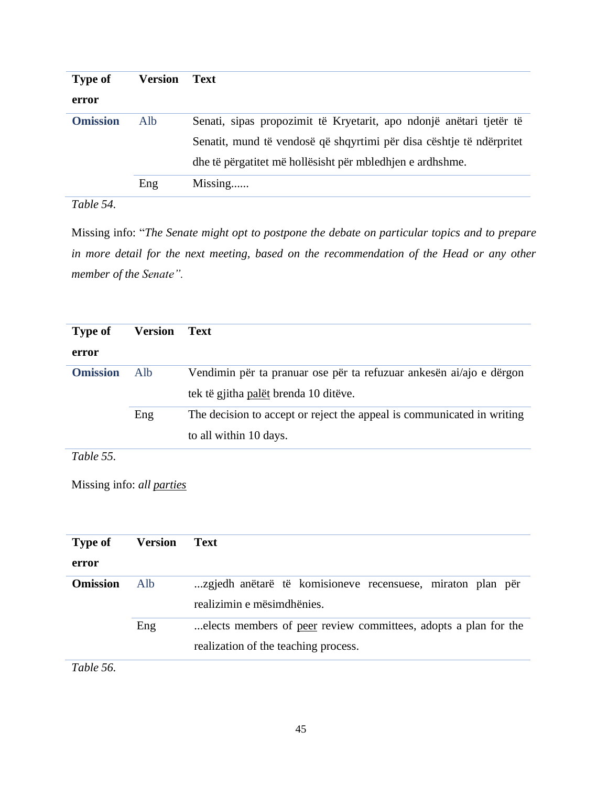| <b>Type of</b>  | Version | <b>Text</b>                                                          |
|-----------------|---------|----------------------------------------------------------------------|
| error           |         |                                                                      |
| <b>Omission</b> | Alb     | Senati, sipas propozimit të Kryetarit, apo ndonjë anëtari tjetër të  |
|                 |         | Senatit, mund të vendosë që shqyrtimi për disa cështje të ndërpritet |
|                 |         | dhe të përgatitet më hollësisht për mbledhjen e ardhshme.            |
|                 | Eng     | Missing                                                              |

# *Table 54.*

Missing info: "*The Senate might opt to postpone the debate on particular topics and to prepare in more detail for the next meeting, based on the recommendation of the Head or any other member of the Senate".*

| <b>Type of</b>  | Version | Text                                                                   |
|-----------------|---------|------------------------------------------------------------------------|
| error           |         |                                                                        |
| <b>Omission</b> | Alb     | Vendimin për ta pranuar ose për ta refuzuar ankesën ai/ajo e dërgon    |
|                 |         | tek të gjitha palët brenda 10 ditëve.                                  |
|                 | Eng     | The decision to accept or reject the appeal is communicated in writing |
|                 |         | to all within 10 days.                                                 |
| Table 55.       |         |                                                                        |

Missing info: *all parties*

| <b>Type of</b>  | Version | Text                                                                                                    |
|-----------------|---------|---------------------------------------------------------------------------------------------------------|
| error           |         |                                                                                                         |
| <b>Omission</b> | Alb     | zgjedh anëtarë të komisioneve recensuese, miraton plan për<br>realizimin e mësimdhënies.                |
|                 | Eng     | elects members of peer review committees, adopts a plan for the<br>realization of the teaching process. |

*Table 56.*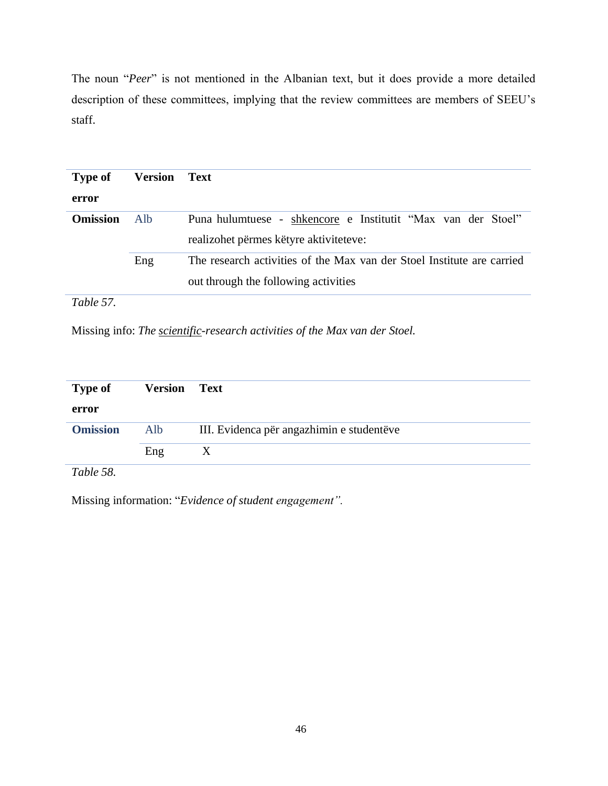The noun "*Peer*" is not mentioned in the Albanian text, but it does provide a more detailed description of these committees, implying that the review committees are members of SEEU's staff.

| <b>Type of</b>  | Version | Text                                                                   |
|-----------------|---------|------------------------------------------------------------------------|
| error           |         |                                                                        |
| <b>Omission</b> | Alb.    | Puna hulumtuese - shkencore e Institutit "Max van der Stoel"           |
|                 |         | realizohet përmes këtyre aktiviteteve:                                 |
|                 | Eng     | The research activities of the Max van der Stoel Institute are carried |
|                 |         | out through the following activities                                   |

*Table 57.*

Missing info: *The scientific-research activities of the Max van der Stoel.*

| <b>Type of</b>  | <b>Version</b> Text |                                           |
|-----------------|---------------------|-------------------------------------------|
| error           |                     |                                           |
| <b>Omission</b> | Alb                 | III. Evidenca për angazhimin e studentëve |
|                 | Eng                 |                                           |
| $T - 1.1 - 50$  |                     |                                           |

*Table 58.*

Missing information: "*Evidence of student engagement".*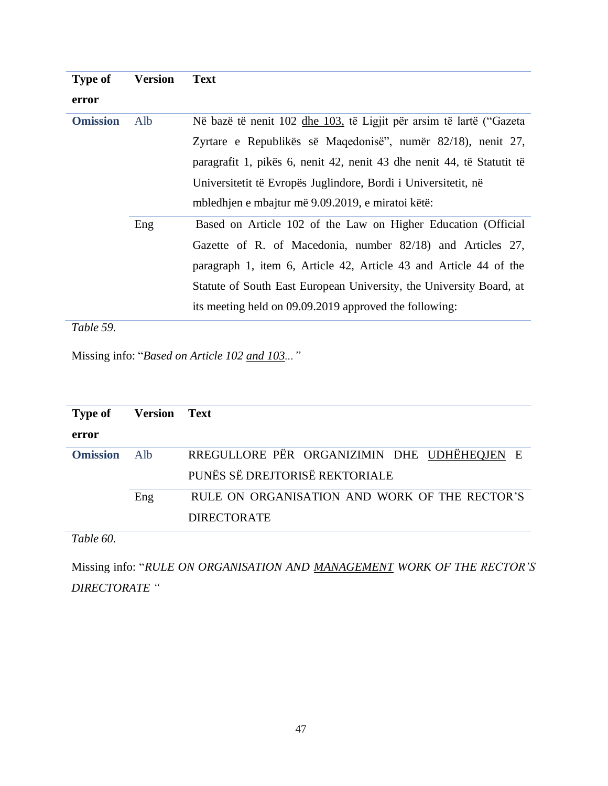| <b>Type of</b>  | <b>Version</b> | <b>Text</b>                                                            |
|-----------------|----------------|------------------------------------------------------------------------|
| error           |                |                                                                        |
| <b>Omission</b> | Alb            | Në bazë të nenit 102 dhe 103, të Ligjit për arsim të lartë ("Gazeta    |
|                 |                | Zyrtare e Republikës së Maqedonisë", numër 82/18), nenit 27,           |
|                 |                | paragrafit 1, pikës 6, nenit 42, nenit 43 dhe nenit 44, të Statutit të |
|                 |                | Universitetit të Evropës Juglindore, Bordi i Universitetit, në         |
|                 |                | mbledhjen e mbajtur më 9.09.2019, e miratoi këtë:                      |
|                 | Eng            | Based on Article 102 of the Law on Higher Education (Official          |
|                 |                | Gazette of R. of Macedonia, number 82/18) and Articles 27,             |
|                 |                | paragraph 1, item 6, Article 42, Article 43 and Article 44 of the      |
|                 |                | Statute of South East European University, the University Board, at    |
|                 |                | its meeting held on 09.09.2019 approved the following:                 |

*Table 59.*

Missing info: "*Based on Article 102 and 103..."*

| <b>Type of</b>  | <b>Version</b> | Text                                                                          |
|-----------------|----------------|-------------------------------------------------------------------------------|
| error           |                |                                                                               |
| <b>Omission</b> | Alb.           | RREGULLORE PËR ORGANIZIMIN DHE UDHËHEQJEN E<br>PUNËS SË DREJTORISË REKTORIALE |
|                 | Eng            | RULE ON ORGANISATION AND WORK OF THE RECTOR'S                                 |
|                 |                | <b>DIRECTORATE</b>                                                            |
| Table 60.       |                |                                                                               |

Missing info: "*RULE ON ORGANISATION AND MANAGEMENT WORK OF THE RECTOR'S DIRECTORATE "*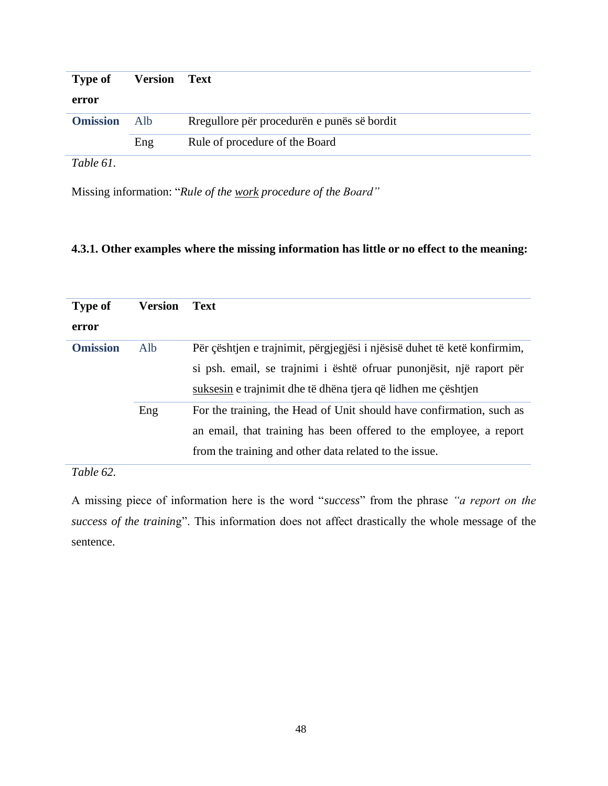| <b>Type of</b>  | <b>Version Text</b> |                                             |
|-----------------|---------------------|---------------------------------------------|
| error           |                     |                                             |
| <b>Omission</b> | Alb.                | Rregullore për procedurën e punës së bordit |
|                 | Eng                 | Rule of procedure of the Board              |
| Table 61.       |                     |                                             |

Missing information: "*Rule of the work procedure of the Board"*

# **4.3.1. Other examples where the missing information has little or no effect to the meaning:**

| <b>Type of</b>  | Version | <b>Text</b>                                                              |
|-----------------|---------|--------------------------------------------------------------------------|
| error           |         |                                                                          |
| <b>Omission</b> | Alb     | Për çështjen e trajnimit, përgjegjësi i njësisë duhet të ketë konfirmim, |
|                 |         | si psh. email, se trajnimi i është ofruar punonjësit, një raport për     |
|                 |         | suksesin e trajnimit dhe të dhëna tjera që lidhen me çështjen            |
|                 | Eng     | For the training, the Head of Unit should have confirmation, such as     |
|                 |         | an email, that training has been offered to the employee, a report       |
|                 |         | from the training and other data related to the issue.                   |

*Table 62.*

A missing piece of information here is the word "*success*" from the phrase *"a report on the success of the trainin*g". This information does not affect drastically the whole message of the sentence.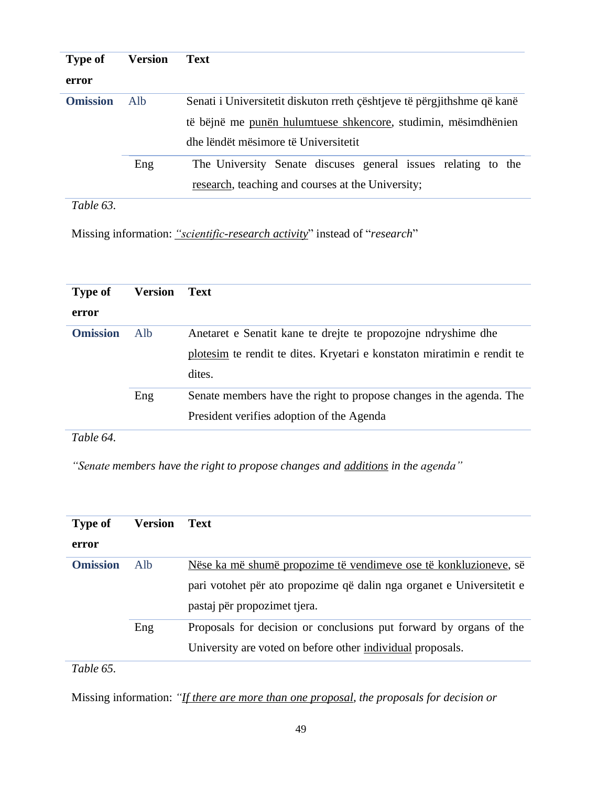| <b>Type of</b>  | <b>Version</b> | <b>Text</b>                                                             |
|-----------------|----------------|-------------------------------------------------------------------------|
| error           |                |                                                                         |
| <b>Omission</b> | Alb            | Senati i Universitetit diskuton rreth çështjeve të përgjithshme që kanë |
|                 |                | të bëjnë me punën hulumtuese shkencore, studimin, mësimdhënien          |
|                 |                | dhe lëndët mësimore të Universitetit                                    |
|                 | Eng            | The University Senate discuses general issues relating to the           |
|                 |                | research, teaching and courses at the University;                       |
|                 |                |                                                                         |

*Table 63.*

Missing information: *"scientific-research activity*" instead of "*research*"

| <b>Type of</b>  | Version | <b>Text</b>                                                             |
|-----------------|---------|-------------------------------------------------------------------------|
| error           |         |                                                                         |
| <b>Omission</b> | Alb.    | Anetaret e Senatit kane te drejte te propozojne ndryshime dhe           |
|                 |         | plotesim te rendit te dites. Kryetari e konstaton miratimin e rendit te |
|                 |         | dites.                                                                  |
|                 | Eng     | Senate members have the right to propose changes in the agenda. The     |
|                 |         | President verifies adoption of the Agenda                               |

*Table 64.*

*"Senate members have the right to propose changes and additions in the agenda"*

| <b>Type of</b>  | <b>Version</b> | <b>Text</b>                                                           |
|-----------------|----------------|-----------------------------------------------------------------------|
| error           |                |                                                                       |
| <b>Omission</b> | Alb            | Nëse ka më shumë propozime të vendimeve ose të konkluzioneve, së      |
|                 |                | pari votohet për ato propozime që dalin nga organet e Universitetit e |
|                 |                | pastaj për propozimet tjera.                                          |
|                 | Eng            | Proposals for decision or conclusions put forward by organs of the    |
|                 |                | University are voted on before other individual proposals.            |
| Table 65.       |                |                                                                       |

Missing information: *"If there are more than one proposal, the proposals for decision or*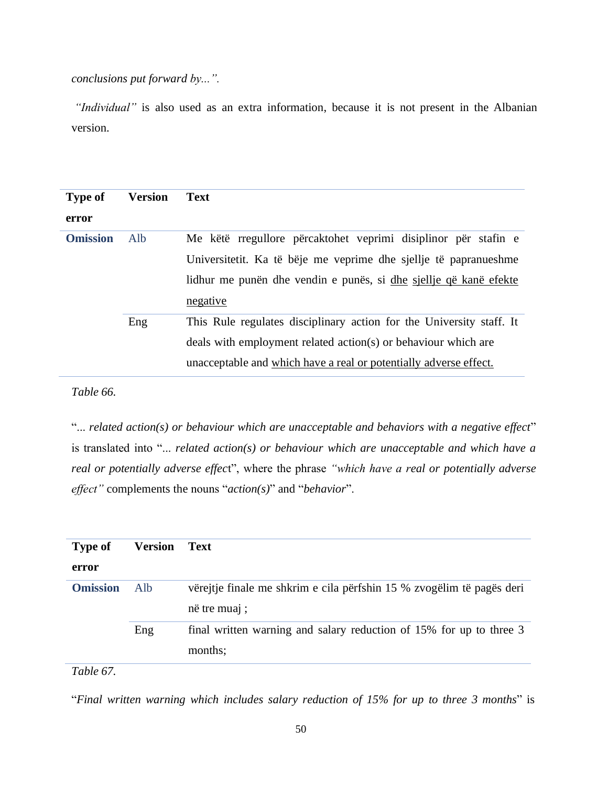*conclusions put forward by...".*

*"Individual"* is also used as an extra information, because it is not present in the Albanian version.

| <b>Type of</b>  | <b>Version</b> | <b>Text</b>                                                          |
|-----------------|----------------|----------------------------------------------------------------------|
| error           |                |                                                                      |
| <b>Omission</b> | Alb            | Me këtë rregullore përcaktohet veprimi disiplinor për stafin e       |
|                 |                | Universitetit. Ka të bëje me veprime dhe sjellje të papranueshme     |
|                 |                | lidhur me punën dhe vendin e punës, si dhe sjellje që kanë efekte    |
|                 |                | negative                                                             |
|                 | Eng            | This Rule regulates disciplinary action for the University staff. It |
|                 |                | deals with employment related action(s) or behaviour which are       |
|                 |                | unacceptable and which have a real or potentially adverse effect.    |

*Table 66.*

"... *related action(s) or behaviour which are unacceptable and behaviors with a negative effect*" is translated into "... *related action(s) or behaviour which are unacceptable and which have a real or potentially adverse effec*t", where the phrase *"which have a real or potentially adverse effect"* complements the nouns "*action(s)*" and "*behavior*".

| <b>Type of</b>  | <b>Version</b> | Text                                                                                  |
|-----------------|----------------|---------------------------------------------------------------------------------------|
| error           |                |                                                                                       |
| <b>Omission</b> | Alb            | vërejtje finale me shkrim e cila përfshin 15 % zvogëlim të pagës deri<br>në tre muaj; |
|                 | Eng            | final written warning and salary reduction of 15% for up to three 3<br>months;        |
| $-11/7$         |                |                                                                                       |

*Table 67.*

"*Final written warning which includes salary reduction of 15% for up to three 3 months*" is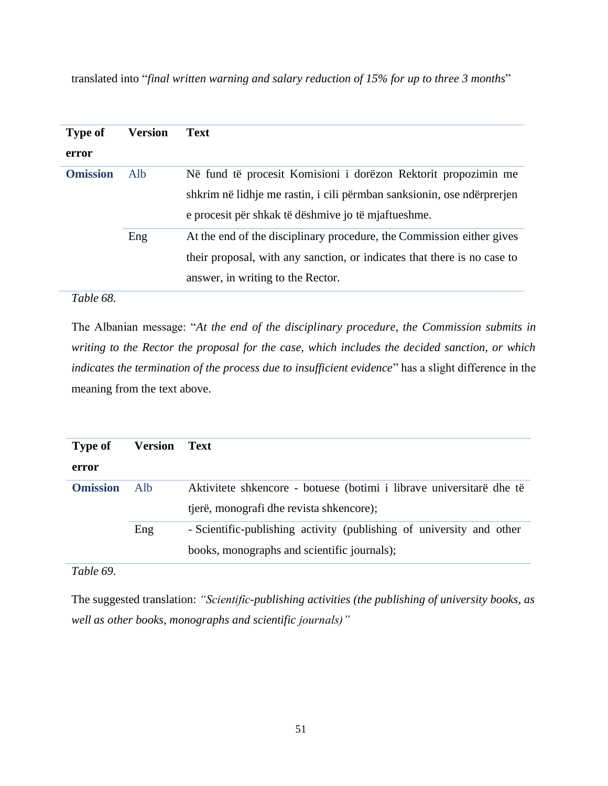| <b>Type of</b>  | <b>Version</b> | <b>Text</b>                                                              |
|-----------------|----------------|--------------------------------------------------------------------------|
| error           |                |                                                                          |
| <b>Omission</b> | Alb            | Në fund të procesit Komisioni i dorëzon Rektorit propozimin me           |
|                 |                | shkrim në lidhje me rastin, i cili përmban sanksionin, ose ndërprerjen   |
|                 |                | e procesit për shkak të dëshmive jo të mjaftueshme.                      |
|                 | Eng            | At the end of the disciplinary procedure, the Commission either gives    |
|                 |                | their proposal, with any sanction, or indicates that there is no case to |
|                 |                | answer, in writing to the Rector.                                        |

translated into "*final written warning and salary reduction of 15% for up to three 3 months*"

#### *Table 68.*

The Albanian message: "*At the end of the disciplinary procedure, the Commission submits in writing to the Rector the proposal for the case, which includes the decided sanction, or which indicates the termination of the process due to insufficient evidence*" has a slight difference in the meaning from the text above.

| <b>Type of</b>  | Version | Text                                                                 |
|-----------------|---------|----------------------------------------------------------------------|
| error           |         |                                                                      |
| <b>Omission</b> | Alb     | Aktivitete shkencore - botuese (botimi i librave universitarë dhe të |
|                 |         | tjerë, monografi dhe revista shkencore);                             |
|                 | Eng     | - Scientific-publishing activity (publishing of university and other |
|                 |         | books, monographs and scientific journals);                          |

### *Table 69.*

The suggested translation: *"Scientific-publishing activities (the publishing of university books, as well as other books, monographs and scientific journals)"*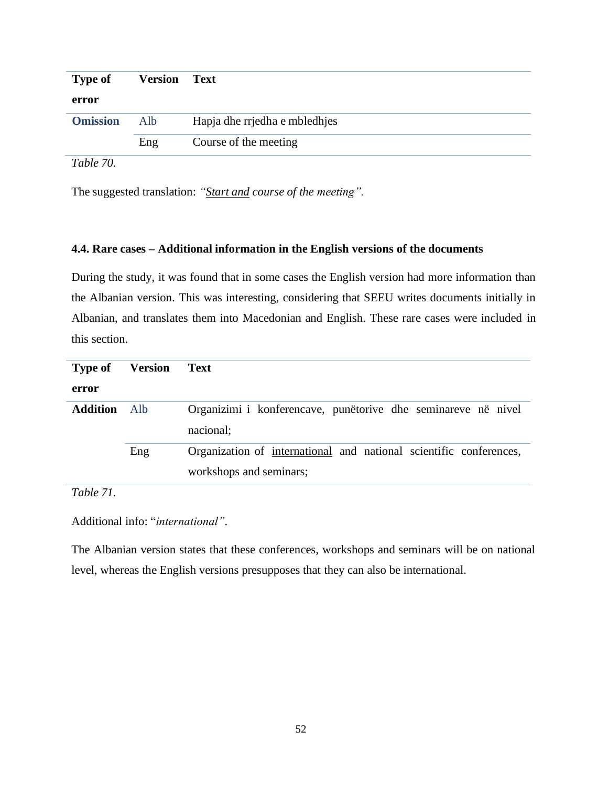| Type of         | <b>Version</b> Text |                               |
|-----------------|---------------------|-------------------------------|
| error           |                     |                               |
| <b>Omission</b> | Alb                 | Hapja dhe rrjedha e mbledhjes |
|                 | Eng                 | Course of the meeting         |
| $T - 11 - 70$   |                     |                               |

*Table 70.*

The suggested translation: *"Start and course of the meeting".*

#### **4.4. Rare cases – Additional information in the English versions of the documents**

During the study, it was found that in some cases the English version had more information than the Albanian version. This was interesting, considering that SEEU writes documents initially in Albanian, and translates them into Macedonian and English. These rare cases were included in this section.

| <b>Type of</b>  | <b>Version</b> | Text                                                               |
|-----------------|----------------|--------------------------------------------------------------------|
| error           |                |                                                                    |
| <b>Addition</b> | Alb            | Organizimi i konferencave, punëtorive dhe seminareve në nivel      |
|                 |                | nacional;                                                          |
|                 | Eng            | Organization of international and national scientific conferences, |
|                 |                | workshops and seminars;                                            |

*Table 71.*

Additional info: "*international"*.

The Albanian version states that these conferences, workshops and seminars will be on national level, whereas the English versions presupposes that they can also be international.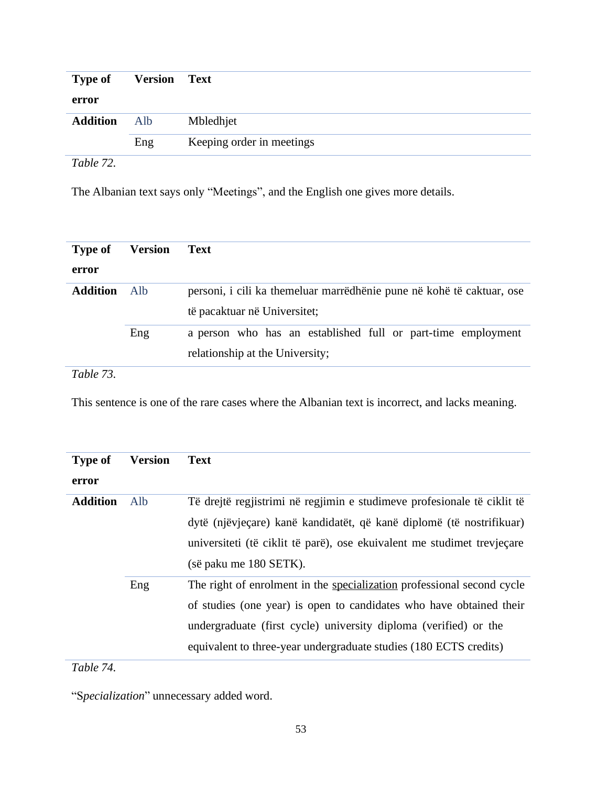| Type of         | <b>Version Text</b> |                           |
|-----------------|---------------------|---------------------------|
| error           |                     |                           |
| <b>Addition</b> | Alb                 | Mbledhjet                 |
|                 | Eng                 | Keeping order in meetings |
| ------          |                     |                           |

*Table 72.*

The Albanian text says only "Meetings", and the English one gives more details.

| <b>Type of</b>  | <b>Version</b> | <b>Text</b>                                                                                           |
|-----------------|----------------|-------------------------------------------------------------------------------------------------------|
| error           |                |                                                                                                       |
| <b>Addition</b> | – Alb          | personi, i cili ka themeluar marrëdhënie pune në kohë të caktuar, ose<br>të pacaktuar në Universitet; |
|                 | Eng            | a person who has an established full or part-time employment<br>relationship at the University;       |
| Table 73.       |                |                                                                                                       |

This sentence is one of the rare cases where the Albanian text is incorrect, and lacks meaning.

| <b>Type of</b>  | <b>Version</b> | <b>Text</b>                                                             |
|-----------------|----------------|-------------------------------------------------------------------------|
| error           |                |                                                                         |
| <b>Addition</b> | Alb            | Të drejtë regjistrimi në regjimin e studimeve profesionale të ciklit të |
|                 |                | dytë (njëvjeçare) kanë kandidatët, që kanë diplomë (të nostrifikuar)    |
|                 |                | universiteti (të ciklit të parë), ose ekuivalent me studimet trevjeçare |
|                 |                | (së paku me 180 SETK).                                                  |
|                 | Eng            | The right of enrolment in the specialization professional second cycle  |
|                 |                | of studies (one year) is open to candidates who have obtained their     |
|                 |                | undergraduate (first cycle) university diploma (verified) or the        |
|                 |                | equivalent to three-year undergraduate studies (180 ECTS credits)       |

*Table 74.*

"S*pecialization*" unnecessary added word.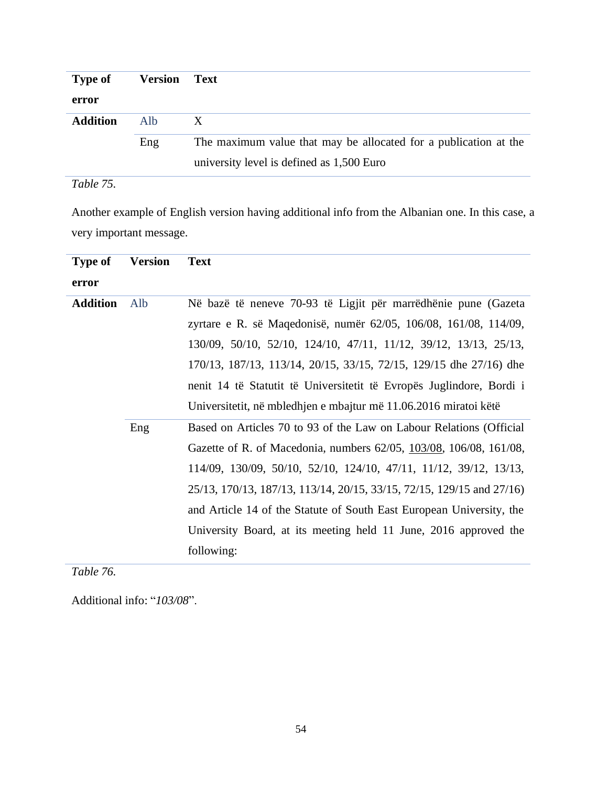| <b>Type of</b>  | <b>Version</b> | <b>Text</b>                                                      |
|-----------------|----------------|------------------------------------------------------------------|
| error           |                |                                                                  |
| <b>Addition</b> | Alb            | X                                                                |
|                 | Eng            | The maximum value that may be allocated for a publication at the |
|                 |                | university level is defined as 1,500 Euro                        |

# *Table 75.*

Another example of English version having additional info from the Albanian one. In this case, a very important message.

| <b>Type of</b>  | <b>Version</b> | <b>Text</b>                                                           |
|-----------------|----------------|-----------------------------------------------------------------------|
| error           |                |                                                                       |
| <b>Addition</b> | Alb            | Në bazë të neneve 70-93 të Ligjit për marrëdhënie pune (Gazeta        |
|                 |                | zyrtare e R. së Maqedonisë, numër 62/05, 106/08, 161/08, 114/09,      |
|                 |                | 130/09, 50/10, 52/10, 124/10, 47/11, 11/12, 39/12, 13/13, 25/13,      |
|                 |                | 170/13, 187/13, 113/14, 20/15, 33/15, 72/15, 129/15 dhe 27/16) dhe    |
|                 |                | nenit 14 të Statutit të Universitetit të Evropës Juglindore, Bordi i  |
|                 |                | Universitetit, në mbledhjen e mbajtur më 11.06.2016 miratoi këtë      |
|                 | Eng            | Based on Articles 70 to 93 of the Law on Labour Relations (Official   |
|                 |                | Gazette of R. of Macedonia, numbers 62/05, 103/08, 106/08, 161/08,    |
|                 |                | 114/09, 130/09, 50/10, 52/10, 124/10, 47/11, 11/12, 39/12, 13/13,     |
|                 |                | 25/13, 170/13, 187/13, 113/14, 20/15, 33/15, 72/15, 129/15 and 27/16) |
|                 |                | and Article 14 of the Statute of South East European University, the  |
|                 |                | University Board, at its meeting held 11 June, 2016 approved the      |
|                 |                | following:                                                            |

*Table 76.*

Additional info: "*103/08*".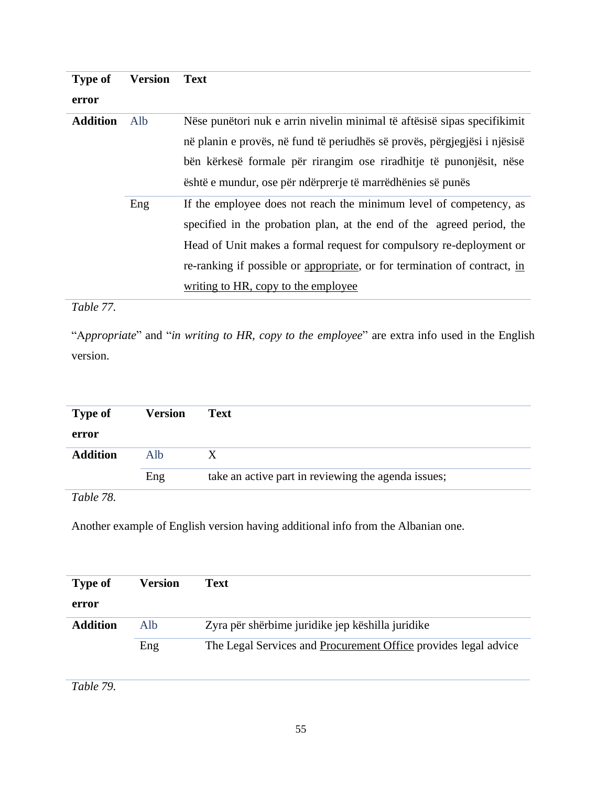| <b>Type of</b>  | <b>Version</b> | <b>Text</b>                                                               |
|-----------------|----------------|---------------------------------------------------------------------------|
| error           |                |                                                                           |
| <b>Addition</b> | Alb            | Nëse punëtori nuk e arrin nivelin minimal të aftësisë sipas specifikimit  |
|                 |                | në planin e provës, në fund të periudhës së provës, përgjegjësi i njësisë |
|                 |                | bën kërkesë formale për rirangim ose riradhitje të punonjësit, nëse       |
|                 |                | është e mundur, ose për ndërprerje të marrëdhënies së punës               |
|                 | Eng            | If the employee does not reach the minimum level of competency, as        |
|                 |                | specified in the probation plan, at the end of the agreed period, the     |
|                 |                | Head of Unit makes a formal request for compulsory re-deployment or       |
|                 |                | re-ranking if possible or appropriate, or for termination of contract, in |
|                 |                | writing to HR, copy to the employee                                       |
|                 |                |                                                                           |

*Table 77.*

"A*ppropriate*" and "*in writing to HR, copy to the employee*" are extra info used in the English version.

| <b>Type of</b>  | <b>Version</b> | <b>Text</b>                                         |
|-----------------|----------------|-----------------------------------------------------|
| error           |                |                                                     |
| <b>Addition</b> | Alb            |                                                     |
|                 | Eng            | take an active part in reviewing the agenda issues; |
|                 |                |                                                     |

*Table 78.*

Another example of English version having additional info from the Albanian one.

| <b>Type of</b>  | <b>Version</b> | Text                                                            |
|-----------------|----------------|-----------------------------------------------------------------|
| error           |                |                                                                 |
| <b>Addition</b> | Alb            | Zyra për shërbime juridike jep këshilla juridike                |
|                 | Eng            | The Legal Services and Procurement Office provides legal advice |

*Table 79.*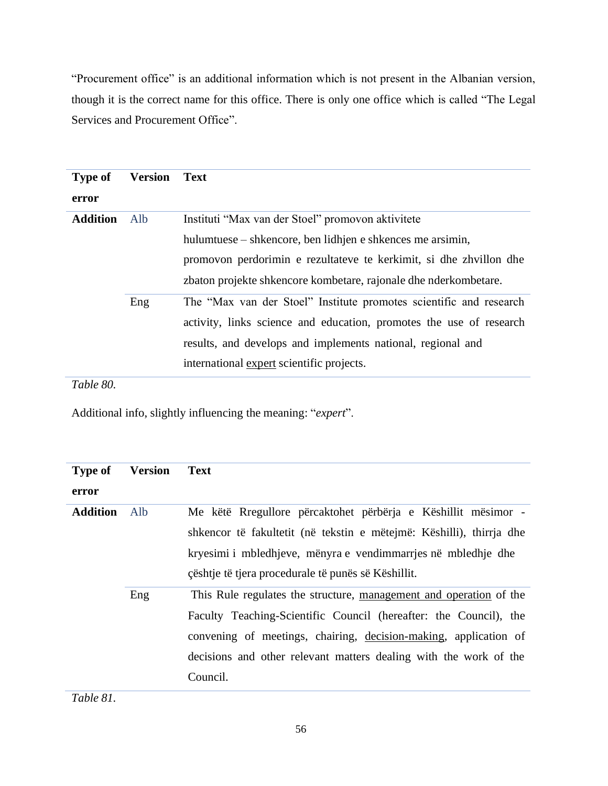"Procurement office" is an additional information which is not present in the Albanian version, though it is the correct name for this office. There is only one office which is called "The Legal Services and Procurement Office".

| <b>Type of</b><br>error | <b>Version</b> | <b>Text</b>                                                                                                                                                                                                                                               |
|-------------------------|----------------|-----------------------------------------------------------------------------------------------------------------------------------------------------------------------------------------------------------------------------------------------------------|
| <b>Addition</b>         | Alb            | Instituti "Max van der Stoel" promovon aktivitete<br>hulumtuese – shkencore, ben lidhjen e shkences me arsimin,<br>promovon perdorimin e rezultateve te kerkimit, si dhe zhvillon dhe<br>zbaton projekte shkencore kombetare, rajonale dhe nderkombetare. |
|                         | Eng            | The "Max van der Stoel" Institute promotes scientific and research<br>activity, links science and education, promotes the use of research<br>results, and develops and implements national, regional and<br>international expert scientific projects.     |

*Table 80.*

Additional info, slightly influencing the meaning: "*expert*".

| <b>Type of</b>  | <b>Version</b> | <b>Text</b>                                                          |
|-----------------|----------------|----------------------------------------------------------------------|
| error           |                |                                                                      |
| <b>Addition</b> | Alb            | Me këtë Rregullore përcaktohet përbërja e Këshillit mësimor -        |
|                 |                | shkencor të fakultetit (në tekstin e mëtejmë: Këshilli), thirria dhe |
|                 |                | kryesimi i mbledhjeve, mënyra e vendimmarrjes në mbledhje dhe        |
|                 |                | çështje të tjera procedurale të punës së Këshillit.                  |
|                 | Eng            | This Rule regulates the structure, management and operation of the   |
|                 |                | Faculty Teaching-Scientific Council (hereafter: the Council), the    |
|                 |                | convening of meetings, chairing, decision-making, application of     |
|                 |                | decisions and other relevant matters dealing with the work of the    |
|                 |                | Council.                                                             |

*Table 81.*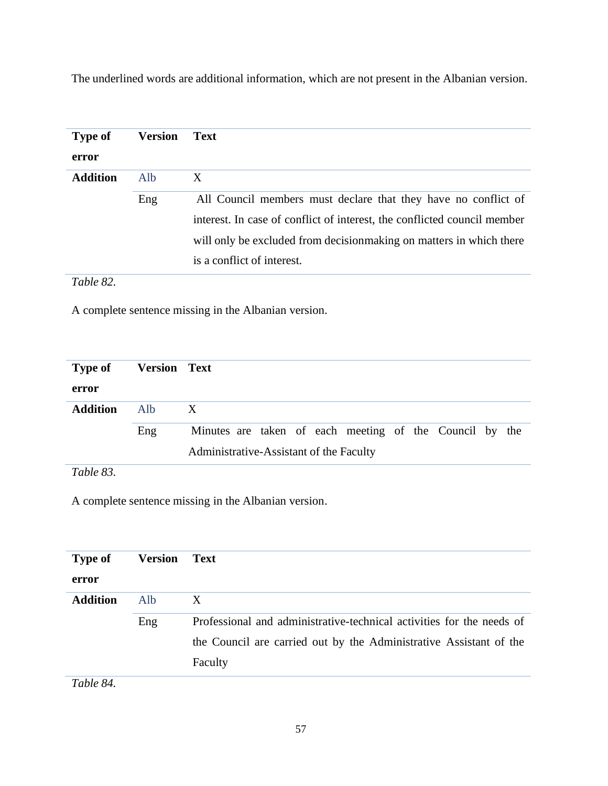The underlined words are additional information, which are not present in the Albanian version.

| <b>Type of</b>  | Version | <b>Text</b>                                                              |
|-----------------|---------|--------------------------------------------------------------------------|
| error           |         |                                                                          |
| <b>Addition</b> | Alb     | X                                                                        |
|                 | Eng     | All Council members must declare that they have no conflict of           |
|                 |         | interest. In case of conflict of interest, the conflicted council member |
|                 |         | will only be excluded from decision making on matters in which there     |
|                 |         | is a conflict of interest.                                               |

*Table 82.*

A complete sentence missing in the Albanian version.

| <b>Type of</b>  | <b>Version Text</b> |                                                                                                    |
|-----------------|---------------------|----------------------------------------------------------------------------------------------------|
| error           |                     |                                                                                                    |
| <b>Addition</b> | Alb.                | X                                                                                                  |
|                 | Eng                 | Minutes are taken of each meeting of the Council by the<br>Administrative-Assistant of the Faculty |
| T1102           |                     |                                                                                                    |

*Table 83.*

A complete sentence missing in the Albanian version.

| <b>Type of</b><br>error | <b>Version</b> | Text                                                                  |
|-------------------------|----------------|-----------------------------------------------------------------------|
| <b>Addition</b>         | Alb.           | X                                                                     |
|                         | Eng            | Professional and administrative-technical activities for the needs of |
|                         |                | the Council are carried out by the Administrative Assistant of the    |
|                         |                | Faculty                                                               |

*Table 84.*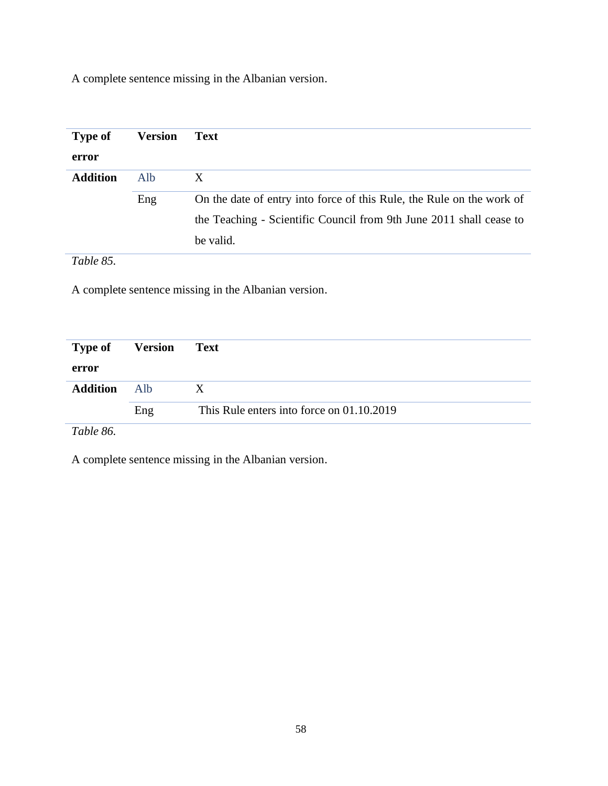A complete sentence missing in the Albanian version.

| <b>Type of</b>        | <b>Version</b> | <b>Text</b>                                                           |
|-----------------------|----------------|-----------------------------------------------------------------------|
| error                 |                |                                                                       |
| <b>Addition</b>       | Alb            | X                                                                     |
|                       | Eng            | On the date of entry into force of this Rule, the Rule on the work of |
|                       |                | the Teaching - Scientific Council from 9th June 2011 shall cease to   |
|                       |                | be valid.                                                             |
| — 11<br>$\sim$ $\sim$ |                |                                                                       |

*Table 85.*

A complete sentence missing in the Albanian version.

| <b>Type of Version</b> |     | Text                                      |
|------------------------|-----|-------------------------------------------|
| error                  |     |                                           |
| <b>Addition</b>        | Alb | X                                         |
|                        | Eng | This Rule enters into force on 01.10.2019 |
| $-1100$                |     |                                           |

*Table 86.*

A complete sentence missing in the Albanian version.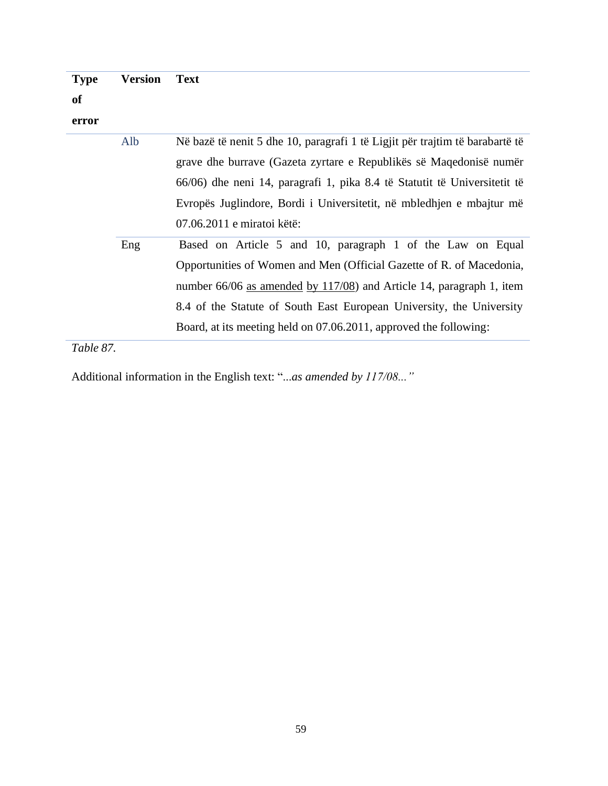**Type Version Text**

# **of**

**error**

| Alb | Në bazë të nenit 5 dhe 10, paragrafi 1 të Ligjit për trajtim të barabartë të |
|-----|------------------------------------------------------------------------------|
|     | grave dhe burrave (Gazeta zyrtare e Republikës së Maqedonisë numër           |
|     | 66/06) dhe neni 14, paragrafi 1, pika 8.4 të Statutit të Universitetit të    |
|     | Evropës Juglindore, Bordi i Universitetit, në mbledhjen e mbajtur më         |
|     | 07.06.2011 e miratoi këtë:                                                   |
| Eng | Based on Article 5 and 10, paragraph 1 of the Law on Equal                   |
|     | Opportunities of Women and Men (Official Gazette of R. of Macedonia,         |
|     | number 66/06 as amended by 117/08) and Article 14, paragraph 1, item         |
|     | 8.4 of the Statute of South East European University, the University         |
|     | Board, at its meeting held on 07.06.2011, approved the following:            |
|     |                                                                              |

*Table 87.*

Additional information in the English text: "...*as amended by 117/08..."*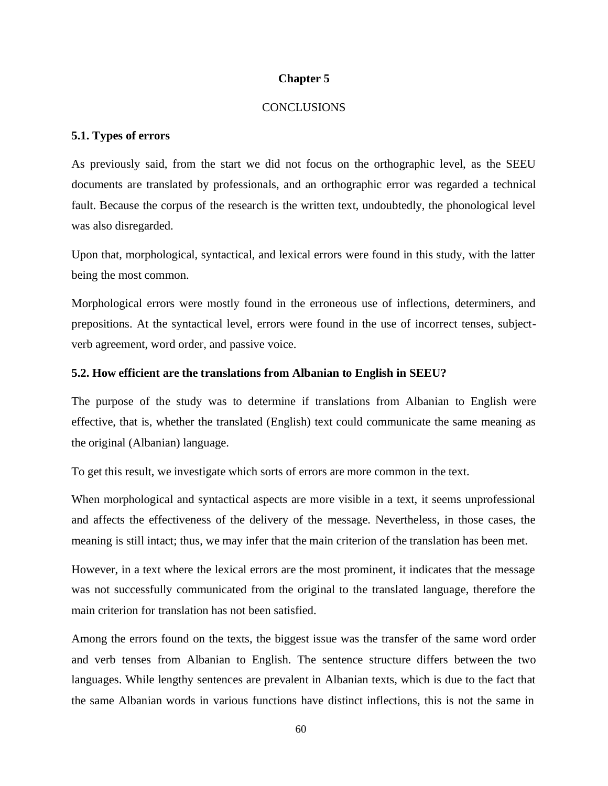#### **Chapter 5**

#### **CONCLUSIONS**

#### **5.1. Types of errors**

As previously said, from the start we did not focus on the orthographic level, as the SEEU documents are translated by professionals, and an orthographic error was regarded a technical fault. Because the corpus of the research is the written text, undoubtedly, the phonological level was also disregarded.

Upon that, morphological, syntactical, and lexical errors were found in this study, with the latter being the most common.

Morphological errors were mostly found in the erroneous use of inflections, determiners, and prepositions. At the syntactical level, errors were found in the use of incorrect tenses, subjectverb agreement, word order, and passive voice.

#### **5.2. How efficient are the translations from Albanian to English in SEEU?**

The purpose of the study was to determine if translations from Albanian to English were effective, that is, whether the translated (English) text could communicate the same meaning as the original (Albanian) language.

To get this result, we investigate which sorts of errors are more common in the text.

When morphological and syntactical aspects are more visible in a text, it seems unprofessional and affects the effectiveness of the delivery of the message. Nevertheless, in those cases, the meaning is still intact; thus, we may infer that the main criterion of the translation has been met.

However, in a text where the lexical errors are the most prominent, it indicates that the message was not successfully communicated from the original to the translated language, therefore the main criterion for translation has not been satisfied.

Among the errors found on the texts, the biggest issue was the transfer of the same word order and verb tenses from Albanian to English. The sentence structure differs between the two languages. While lengthy sentences are prevalent in Albanian texts, which is due to the fact that the same Albanian words in various functions have distinct inflections, this is not the same in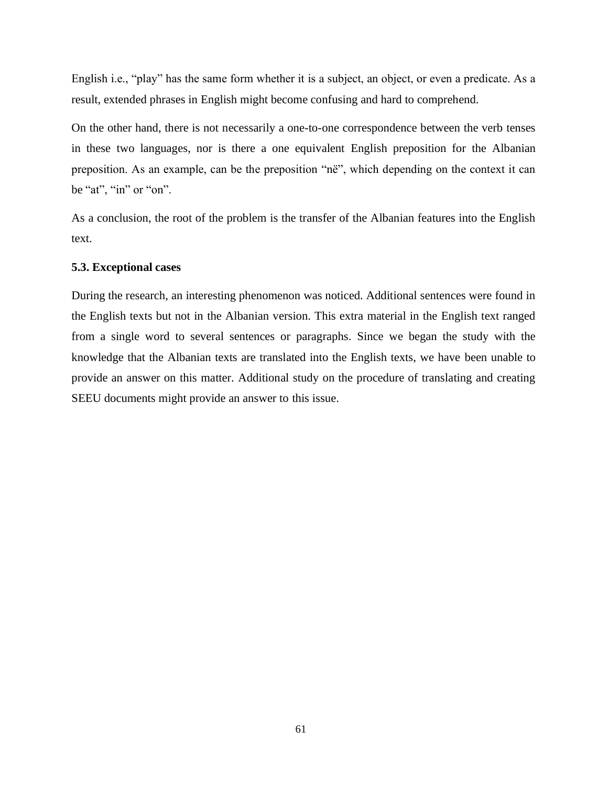English i.e., "play" has the same form whether it is a subject, an object, or even a predicate. As a result, extended phrases in English might become confusing and hard to comprehend.

On the other hand, there is not necessarily a one-to-one correspondence between the verb tenses in these two languages, nor is there a one equivalent English preposition for the Albanian preposition. As an example, can be the preposition "në", which depending on the context it can be "at", "in" or "on".

As a conclusion, the root of the problem is the transfer of the Albanian features into the English text.

#### **5.3. Exceptional cases**

During the research, an interesting phenomenon was noticed. Additional sentences were found in the English texts but not in the Albanian version. This extra material in the English text ranged from a single word to several sentences or paragraphs. Since we began the study with the knowledge that the Albanian texts are translated into the English texts, we have been unable to provide an answer on this matter. Additional study on the procedure of translating and creating SEEU documents might provide an answer to this issue.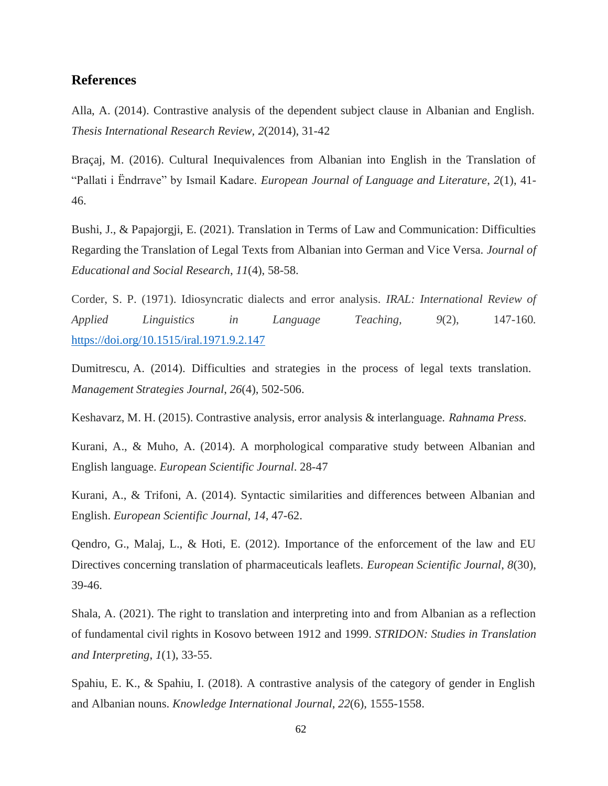### **References**

Alla, A. (2014). Contrastive analysis of the dependent subject clause in Albanian and English. *Thesis International Research Review, 2*(2014), 31-42

Braçaj, M. (2016). Cultural Inequivalences from Albanian into English in the Translation of "Pallati i Ëndrrave" by Ismail Kadare. *European Journal of Language and Literature*, *2*(1), 41- 46.

Bushi, J., & Papajorgji, E. (2021). Translation in Terms of Law and Communication: Difficulties Regarding the Translation of Legal Texts from Albanian into German and Vice Versa. *Journal of Educational and Social Research*, *11*(4), 58-58.

Corder, S. P. (1971). Idiosyncratic dialects and error analysis. *IRAL: International Review of Applied Linguistics in Language Teaching, 9*(2), 147-160. [https://doi.org/10.1515/iral.1971.9.2.147](https://psycnet.apa.org/doi/10.1515/iral.1971.9.2.147)

Dumitrescu, A. (2014). Difficulties and strategies in the process of legal texts translation. *Management Strategies Journal*, *26*(4), 502-506.

Keshavarz, M. H. (2015). Contrastive analysis, error analysis & interlanguage. *Rahnama Press.*

Kurani, A., & Muho, A. (2014). A morphological comparative study between Albanian and English language. *European Scientific Journal*. 28-47

Kurani, A., & Trifoni, A. (2014). Syntactic similarities and differences between Albanian and English. *European Scientific Journal*, *14*, 47-62.

Qendro, G., Malaj, L., & Hoti, E. (2012). Importance of the enforcement of the law and EU Directives concerning translation of pharmaceuticals leaflets. *European Scientific Journal*, *8*(30), 39-46.

Shala, A. (2021). The right to translation and interpreting into and from Albanian as a reflection of fundamental civil rights in Kosovo between 1912 and 1999. *STRIDON: Studies in Translation and Interpreting*, *1*(1), 33-55.

Spahiu, E. K., & Spahiu, I. (2018). A contrastive analysis of the category of gender in English and Albanian nouns. *Knowledge International Journal*, *22*(6), 1555-1558.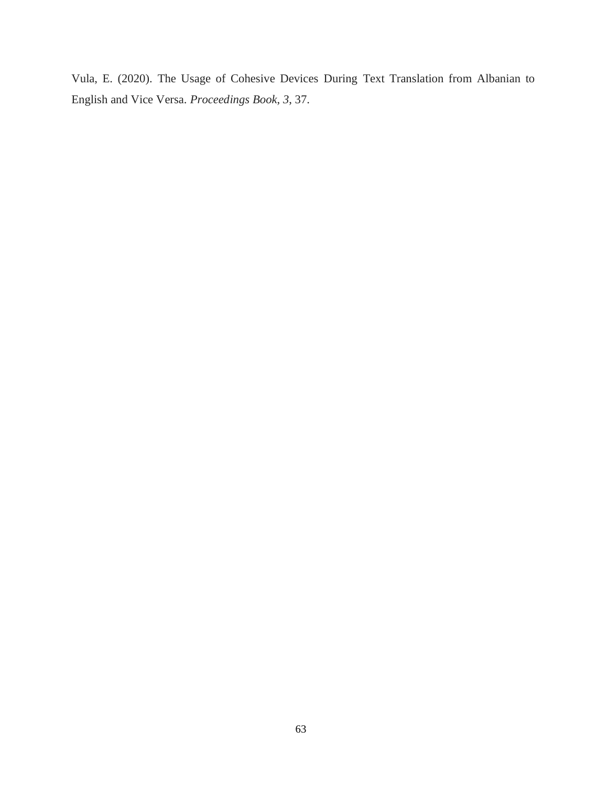Vula, E. (2020). The Usage of Cohesive Devices During Text Translation from Albanian to English and Vice Versa. *Proceedings Book*, *3*, 37.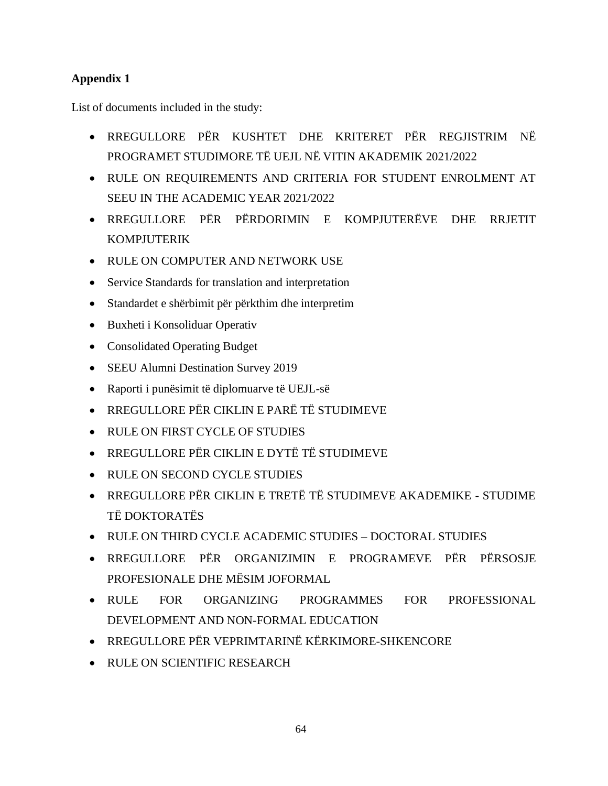# **Appendix 1**

List of documents included in the study:

- RREGULLORE PËR KUSHTET DHE KRITERET PËR REGJISTRIM NË PROGRAMET STUDIMORE TË UEJL NË VITIN AKADEMIK 2021/2022
- RULE ON REQUIREMENTS AND CRITERIA FOR STUDENT ENROLMENT AT SEEU IN THE ACADEMIC YEAR 2021/2022
- RREGULLORE PËR PËRDORIMIN E KOMPJUTERËVE DHE RRJETIT KOMPJUTERIK
- RULE ON COMPUTER AND NETWORK USE
- Service Standards for translation and interpretation
- Standardet e shërbimit për përkthim dhe interpretim
- Buxheti i Konsoliduar Operativ
- Consolidated Operating Budget
- SEEU Alumni Destination Survey 2019
- Raporti i punësimit të diplomuarve të UEJL-së
- RREGULLORE PËR CIKLIN E PARË TË STUDIMEVE
- RULE ON FIRST CYCLE OF STUDIES
- RREGULLORE PËR CIKLIN E DYTË TË STUDIMEVE
- RULE ON SECOND CYCLE STUDIES
- RREGULLORE PËR CIKLIN E TRETË TË STUDIMEVE AKADEMIKE STUDIME TË DOKTORATËS
- RULE ON THIRD CYCLE ACADEMIC STUDIES DOCTORAL STUDIES
- RREGULLORE PËR ORGANIZIMIN E PROGRAMEVE PËR PËRSOSJE PROFESIONALE DHE MËSIM JOFORMAL
- RULE FOR ORGANIZING PROGRAMMES FOR PROFESSIONAL DEVELOPMENT AND NON-FORMAL EDUCATION
- RREGULLORE PËR VEPRIMTARINË KËRKIMORE-SHKENCORE
- RULE ON SCIENTIFIC RESEARCH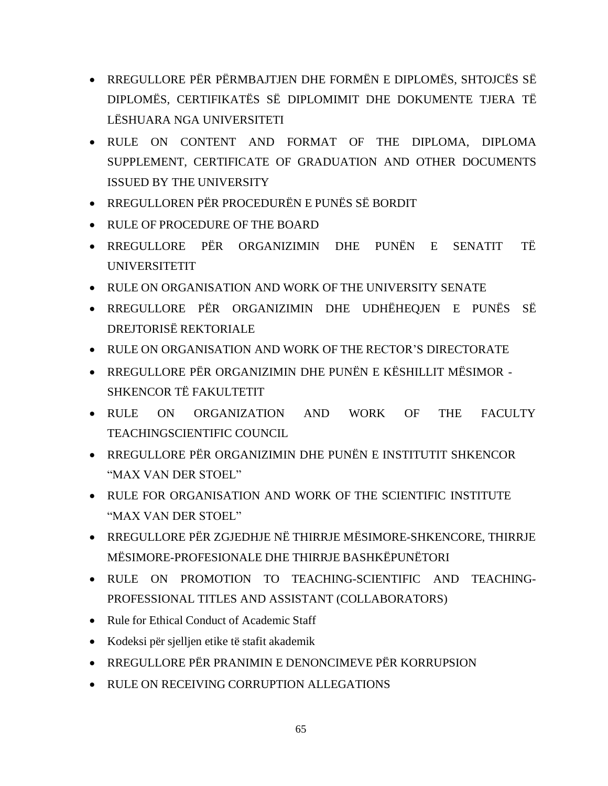- RREGULLORE PËR PËRMBAJTJEN DHE FORMËN E DIPLOMËS, SHTOJCËS SË DIPLOMËS, CERTIFIKATËS SË DIPLOMIMIT DHE DOKUMENTE TJERA TË LËSHUARA NGA UNIVERSITETI
- RULE ON CONTENT AND FORMAT OF THE DIPLOMA, DIPLOMA SUPPLEMENT, CERTIFICATE OF GRADUATION AND OTHER DOCUMENTS ISSUED BY THE UNIVERSITY
- RREGULLOREN PËR PROCEDURËN E PUNËS SË BORDIT
- RULE OF PROCEDURE OF THE BOARD
- RREGULLORE PËR ORGANIZIMIN DHE PUNËN E SENATIT TË UNIVERSITETIT
- RULE ON ORGANISATION AND WORK OF THE UNIVERSITY SENATE
- RREGULLORE PËR ORGANIZIMIN DHE UDHËHEQJEN E PUNËS SË DREJTORISË REKTORIALE
- RULE ON ORGANISATION AND WORK OF THE RECTOR'S DIRECTORATE
- RREGULLORE PËR ORGANIZIMIN DHE PUNËN E KËSHILLIT MËSIMOR SHKENCOR TË FAKULTETIT
- RULE ON ORGANIZATION AND WORK OF THE FACULTY TEACHINGSCIENTIFIC COUNCIL
- RREGULLORE PËR ORGANIZIMIN DHE PUNËN E INSTITUTIT SHKENCOR "MAX VAN DER STOEL"
- RULE FOR ORGANISATION AND WORK OF THE SCIENTIFIC INSTITUTE "МАX VAN DER STOEL"
- RREGULLORE PËR ZGJEDHJE NË THIRRJE MËSIMORE-SHKENCORE, THIRRJE MËSIMORE-PROFESIONALE DHE THIRRJE BASHKËPUNËTORI
- RULE ON PROMOTION TO TEACHING-SCIENTIFIC AND TEACHING-PROFESSIONAL TITLES AND ASSISTANT (COLLABORATORS)
- Rule for Ethical Conduct of Academic Staff
- Kodeksi për sjelljen etike të stafit akademik
- RREGULLORE PËR PRANIMIN E DENONCIMEVE PËR KORRUPSION
- RULE ON RECEIVING CORRUPTION ALLEGATIONS